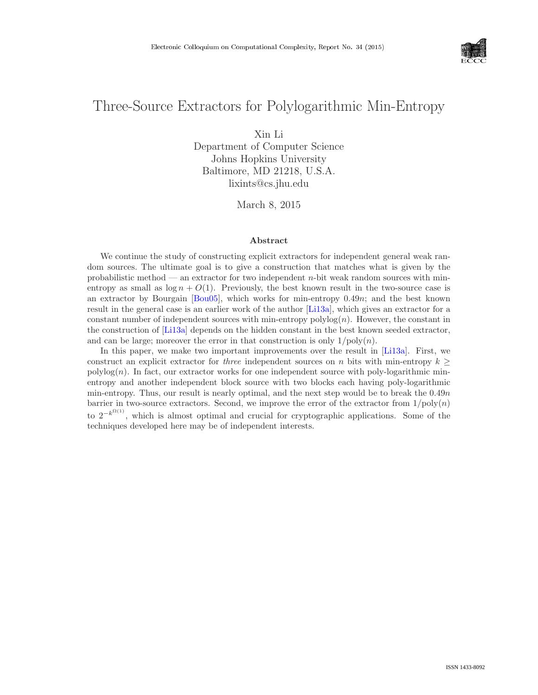

# Three-Source Extractors for Polylogarithmic Min-Entropy

Xin Li

Department of Computer Science Johns Hopkins University Baltimore, MD 21218, U.S.A. lixints@cs.jhu.edu

March 8, 2015

#### Abstract

We continue the study of constructing explicit extractors for independent general weak random sources. The ultimate goal is to give a construction that matches what is given by the probabilistic method — an extractor for two independent  $n$ -bit weak random sources with minentropy as small as  $\log n + O(1)$ . Previously, the best known result in the two-source case is an extractor by Bourgain [\[Bou05\]](#page--1-0), which works for min-entropy 0.49n; and the best known result in the general case is an earlier work of the author [\[Li13a\]](#page--1-1), which gives an extractor for a constant number of independent sources with min-entropy  $polylog(n)$ . However, the constant in the construction of [\[Li13a\]](#page--1-1) depends on the hidden constant in the best known seeded extractor, and can be large; moreover the error in that construction is only  $1/\text{poly}(n)$ .

In this paper, we make two important improvements over the result in [\[Li13a\]](#page--1-1). First, we construct an explicit extractor for *three* independent sources on n bits with min-entropy  $k \geq$  $polylog(n)$ . In fact, our extractor works for one independent source with poly-logarithmic minentropy and another independent block source with two blocks each having poly-logarithmic min-entropy. Thus, our result is nearly optimal, and the next step would be to break the  $0.49n$ barrier in two-source extractors. Second, we improve the error of the extractor from  $1/\text{poly}(n)$ to  $2^{-k^{\Omega(1)}}$ , which is almost optimal and crucial for cryptographic applications. Some of the techniques developed here may be of independent interests.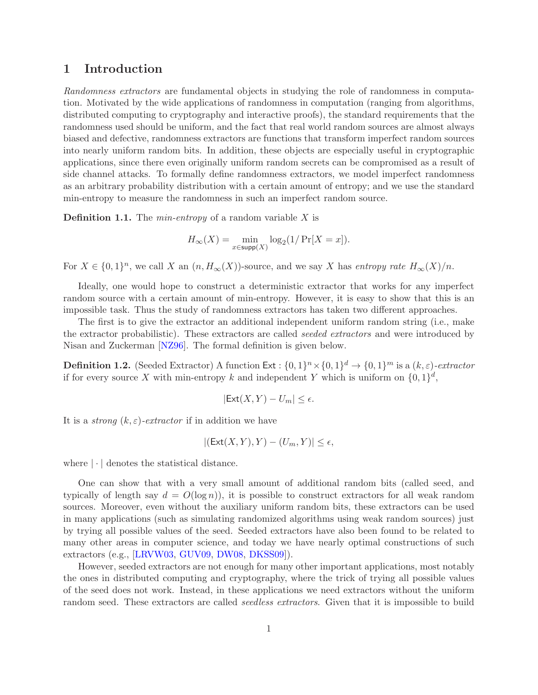### 1 Introduction

Randomness extractors are fundamental objects in studying the role of randomness in computation. Motivated by the wide applications of randomness in computation (ranging from algorithms, distributed computing to cryptography and interactive proofs), the standard requirements that the randomness used should be uniform, and the fact that real world random sources are almost always biased and defective, randomness extractors are functions that transform imperfect random sources into nearly uniform random bits. In addition, these objects are especially useful in cryptographic applications, since there even originally uniform random secrets can be compromised as a result of side channel attacks. To formally define randomness extractors, we model imperfect randomness as an arbitrary probability distribution with a certain amount of entropy; and we use the standard min-entropy to measure the randomness in such an imperfect random source.

**Definition 1.1.** The *min-entropy* of a random variable  $X$  is

$$
H_\infty(X)=\min_{x\in \mathsf{supp}(X)}\log_2(1/\Pr[X=x]).
$$

For  $X \in \{0,1\}^n$ , we call X an  $(n, H_{\infty}(X))$ -source, and we say X has entropy rate  $H_{\infty}(X)/n$ .

Ideally, one would hope to construct a deterministic extractor that works for any imperfect random source with a certain amount of min-entropy. However, it is easy to show that this is an impossible task. Thus the study of randomness extractors has taken two different approaches.

The first is to give the extractor an additional independent uniform random string (i.e., make the extractor probabilistic). These extractors are called seeded extractors and were introduced by Nisan and Zuckerman [\[NZ96\]](#page--1-2). The formal definition is given below.

**Definition 1.2.** (Seeded Extractor) A function  $\textsf{Ext}: \{0,1\}^n \times \{0,1\}^d \to \{0,1\}^m$  is a  $(k,\varepsilon)$ -extractor if for every source X with min-entropy k and independent Y which is uniform on  $\{0,1\}^d$ ,

$$
|\mathsf{Ext}(X,Y)-U_m|\leq\epsilon.
$$

It is a *strong*  $(k, \varepsilon)$ -extractor if in addition we have

$$
|(\mathsf{Ext}(X,Y),Y)-(U_m,Y)|\leq\epsilon,
$$

where  $|\cdot|$  denotes the statistical distance.

One can show that with a very small amount of additional random bits (called seed, and typically of length say  $d = O(\log n)$ , it is possible to construct extractors for all weak random sources. Moreover, even without the auxiliary uniform random bits, these extractors can be used in many applications (such as simulating randomized algorithms using weak random sources) just by trying all possible values of the seed. Seeded extractors have also been found to be related to many other areas in computer science, and today we have nearly optimal constructions of such extractors (e.g., [\[LRVW03,](#page--1-3) [GUV09,](#page-29-0) [DW08,](#page-29-1) [DKSS09\]](#page-29-2)).

However, seeded extractors are not enough for many other important applications, most notably the ones in distributed computing and cryptography, where the trick of trying all possible values of the seed does not work. Instead, in these applications we need extractors without the uniform random seed. These extractors are called *seedless extractors*. Given that it is impossible to build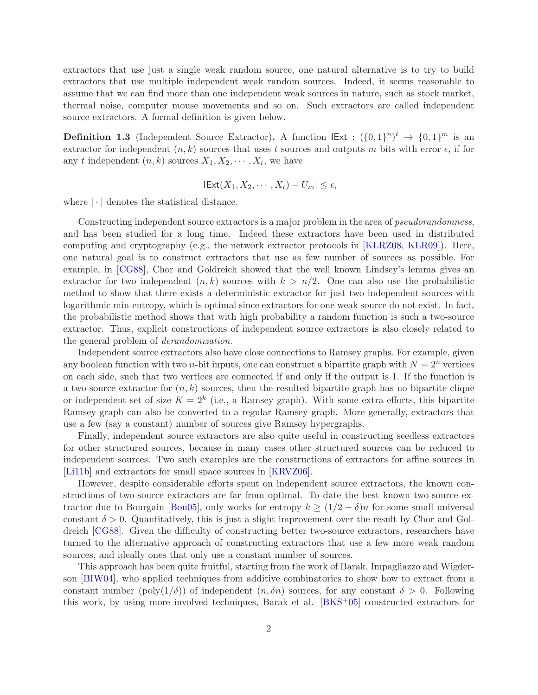extractors that use just a single weak random source, one natural alternative is to try to build extractors that use multiple independent weak random sources. Indeed, it seems reasonable to assume that we can find more than one independent weak sources in nature, such as stock market, thermal noise, computer mouse movements and so on. Such extractors are called independent source extractors. A formal definition is given below.

**Definition 1.3** (Independent Source Extractor). A function  $\text{IExt} : (\{0,1\}^n)^t \to \{0,1\}^m$  is an extractor for independent  $(n, k)$  sources that uses t sources and outputs m bits with error  $\epsilon$ , if for any t independent  $(n, k)$  sources  $X_1, X_2, \cdots, X_t$ , we have

$$
|\mathsf{IExt}(X_1, X_2, \cdots, X_t) - U_m| \le \epsilon,
$$

where  $|\cdot|$  denotes the statistical distance.

Constructing independent source extractors is a major problem in the area of *pseudorandomness*, and has been studied for a long time. Indeed these extractors have been used in distributed computing and cryptography (e.g., the network extractor protocols in [\[KLRZ08,](#page-29-3) [KLR09\]](#page-29-4)). Here, one natural goal is to construct extractors that use as few number of sources as possible. For example, in [\[CG88\]](#page-29-5), Chor and Goldreich showed that the well known Lindsey's lemma gives an extractor for two independent  $(n, k)$  sources with  $k > n/2$ . One can also use the probabilistic method to show that there exists a deterministic extractor for just two independent sources with logarithmic min-entropy, which is optimal since extractors for one weak source do not exist. In fact, the probabilistic method shows that with high probability a random function is such a two-source extractor. Thus, explicit constructions of independent source extractors is also closely related to the general problem of derandomization.

Independent source extractors also have close connections to Ramsey graphs. For example, given any boolean function with two *n*-bit inputs, one can construct a bipartite graph with  $N = 2<sup>n</sup>$  vertices on each side, such that two vertices are connected if and only if the output is 1. If the function is a two-source extractor for  $(n, k)$  sources, then the resulted bipartite graph has no bipartite clique or independent set of size  $K = 2<sup>k</sup>$  (i.e., a Ramsey graph). With some extra efforts, this bipartite Ramsey graph can also be converted to a regular Ramsey graph. More generally, extractors that use a few (say a constant) number of sources give Ramsey hypergraphs.

Finally, independent source extractors are also quite useful in constructing seedless extractors for other structured sources, because in many cases other structured sources can be reduced to independent sources. Two such examples are the constructions of extractors for affine sources in [Li<sub>11b]</sub> and extractors for small space sources in [\[KRVZ06\]](#page-29-7).

However, despite considerable efforts spent on independent source extractors, the known constructions of two-source extractors are far from optimal. To date the best known two-source ex-tractor due to Bourgain [\[Bou05\]](#page-28-0), only works for entropy  $k \geq (1/2 - \delta)n$  for some small universal constant  $\delta > 0$ . Quantitatively, this is just a slight improvement over the result by Chor and Goldreich [\[CG88\]](#page-29-5). Given the difficulty of constructing better two-source extractors, researchers have turned to the alternative approach of constructing extractors that use a few more weak random sources, and ideally ones that only use a constant number of sources.

This approach has been quite fruitful, starting from the work of Barak, Impagliazzo and Wigderson [\[BIW04\]](#page-28-1), who applied techniques from additive combinatorics to show how to extract from a constant number (poly( $1/\delta$ ) of independent  $(n, \delta n)$  sources, for any constant  $\delta > 0$ . Following this work, by using more involved techniques, Barak et al. [\[BKS](#page-28-2)+05] constructed extractors for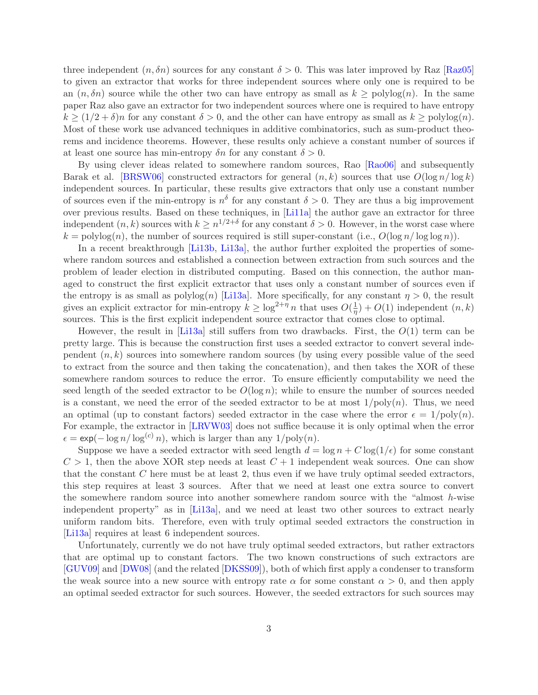three independent  $(n, \delta n)$  sources for any constant  $\delta > 0$ . This was later improved by Raz [\[Raz05\]](#page--1-4) to given an extractor that works for three independent sources where only one is required to be an  $(n, \delta n)$  source while the other two can have entropy as small as  $k \geq \text{polylog}(n)$ . In the same paper Raz also gave an extractor for two independent sources where one is required to have entropy  $k \geq (1/2 + \delta)n$  for any constant  $\delta > 0$ , and the other can have entropy as small as  $k \geq \text{polylog}(n)$ . Most of these work use advanced techniques in additive combinatorics, such as sum-product theorems and incidence theorems. However, these results only achieve a constant number of sources if at least one source has min-entropy  $\delta n$  for any constant  $\delta > 0$ .

By using clever ideas related to somewhere random sources, Rao [\[Rao06\]](#page--1-5) and subsequently Barak et al. [\[BRSW06\]](#page-28-3) constructed extractors for general  $(n, k)$  sources that use  $O(\log n / \log k)$ independent sources. In particular, these results give extractors that only use a constant number of sources even if the min-entropy is  $n^{\delta}$  for any constant  $\delta > 0$ . They are thus a big improvement over previous results. Based on these techniques, in [\[Li11a\]](#page-29-8) the author gave an extractor for three independent  $(n, k)$  sources with  $k \geq n^{1/2+\delta}$  for any constant  $\delta > 0$ . However, in the worst case where  $k = \text{polylog}(n)$ , the number of sources required is still super-constant (i.e.,  $O(\log n / \log \log n)$ ).

In a recent breakthrough [\[Li13b,](#page--1-6) [Li13a\]](#page-29-9), the author further exploited the properties of somewhere random sources and established a connection between extraction from such sources and the problem of leader election in distributed computing. Based on this connection, the author managed to construct the first explicit extractor that uses only a constant number of sources even if the entropy is as small as  $\text{polylog}(n)$  [\[Li13a\]](#page-29-9). More specifically, for any constant  $\eta > 0$ , the result gives an explicit extractor for min-entropy  $k \geq \log^{2+\eta} n$  that uses  $O(\frac{1}{\eta})$  $(\frac{1}{\eta}) + O(1)$  independent  $(n, k)$ sources. This is the first explicit independent source extractor that comes close to optimal.

However, the result in [\[Li13a\]](#page-29-9) still suffers from two drawbacks. First, the  $O(1)$  term can be pretty large. This is because the construction first uses a seeded extractor to convert several independent  $(n, k)$  sources into somewhere random sources (by using every possible value of the seed to extract from the source and then taking the concatenation), and then takes the XOR of these somewhere random sources to reduce the error. To ensure efficiently computability we need the seed length of the seeded extractor to be  $O(\log n)$ ; while to ensure the number of sources needed is a constant, we need the error of the seeded extractor to be at most  $1/poly(n)$ . Thus, we need an optimal (up to constant factors) seeded extractor in the case where the error  $\epsilon = 1/\text{poly}(n)$ . For example, the extractor in [\[LRVW03\]](#page--1-3) does not suffice because it is only optimal when the error  $\epsilon = \exp(-\log n / \log^{(c)} n)$ , which is larger than any  $1/\text{poly}(n)$ .

Suppose we have a seeded extractor with seed length  $d = \log n + C \log(1/\epsilon)$  for some constant  $C > 1$ , then the above XOR step needs at least  $C + 1$  independent weak sources. One can show that the constant  $C$  here must be at least 2, thus even if we have truly optimal seeded extractors. this step requires at least 3 sources. After that we need at least one extra source to convert the somewhere random source into another somewhere random source with the "almost  $h$ -wise independent property" as in [\[Li13a\]](#page-29-9), and we need at least two other sources to extract nearly uniform random bits. Therefore, even with truly optimal seeded extractors the construction in [\[Li13a\]](#page-29-9) requires at least 6 independent sources.

Unfortunately, currently we do not have truly optimal seeded extractors, but rather extractors that are optimal up to constant factors. The two known constructions of such extractors are [\[GUV09\]](#page-29-0) and [\[DW08\]](#page-29-1) (and the related [\[DKSS09\]](#page-29-2)), both of which first apply a condenser to transform the weak source into a new source with entropy rate  $\alpha$  for some constant  $\alpha > 0$ , and then apply an optimal seeded extractor for such sources. However, the seeded extractors for such sources may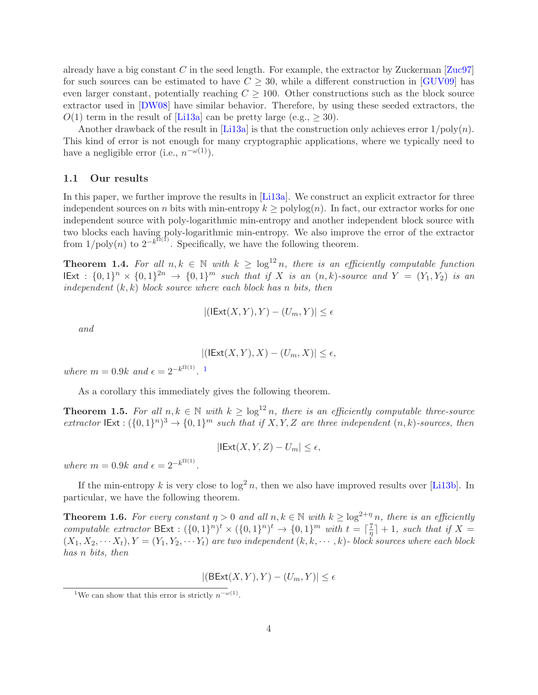already have a big constant C in the seed length. For example, the extractor by Zuckerman  $Zuc97$ for such sources can be estimated to have  $C \geq 30$ , while a different construction in [\[GUV09\]](#page-29-0) has even larger constant, potentially reaching  $C \geq 100$ . Other constructions such as the block source extractor used in [\[DW08\]](#page-29-1) have similar behavior. Therefore, by using these seeded extractors, the  $O(1)$  term in the result of [Li<sub>13a]</sub> can be pretty large (e.g.,  $>$  30).

Another drawback of the result in [\[Li13a\]](#page-29-9) is that the construction only achieves error  $1/poly(n)$ . This kind of error is not enough for many cryptographic applications, where we typically need to have a negligible error (i.e.,  $n^{-\omega(1)}$ ).

### 1.1 Our results

In this paper, we further improve the results in [\[Li13a\]](#page-29-9). We construct an explicit extractor for three independent sources on n bits with min-entropy  $k \geq \text{polylog}(n)$ . In fact, our extractor works for one independent source with poly-logarithmic min-entropy and another independent block source with two blocks each having poly-logarithmic min-entropy. We also improve the error of the extractor from  $1/\text{poly}(n)$  to  $2^{-k^{\Omega(1)}}$ . Specifically, we have the following theorem.

**Theorem 1.4.** For all  $n, k \in \mathbb{N}$  with  $k \geq \log^{12} n$ , there is an efficiently computable function  $\text{IExt}: \{0,1\}^n \times \{0,1\}^{2n} \to \{0,1\}^m \text{ such that if } X \text{ is an } (n,k) \text{-source and } Y = (Y_1, Y_2) \text{ is an } (n,k) \text{-source and } Y = (Y_1, Y_2) \text{ is an } (n,k) \text{-source and } Y = (Y_1, Y_2) \text{ is an } (n,k) \text{-source and } Y = (Y_1, Y_2) \text{ is an } (n,k) \text{-source and } Y = (Y_1, Y_2) \text{ is an } (n,k) \text{-source and } Y = (Y_1, Y_2) \text{ is an } (n,k) \$ independent  $(k, k)$  block source where each block has n bits, then

$$
|(\text{IExt}(X,Y),Y)-(U_m,Y)|\leq\epsilon
$$

and

$$
|(\text{IExt}(X,Y),X)-(U_m,X)|\leq \epsilon,
$$

where  $m = 0.9k$  and  $\epsilon = 2^{-k^{\Omega(1)}}$  $\epsilon = 2^{-k^{\Omega(1)}}$  $\epsilon = 2^{-k^{\Omega(1)}}$ . <sup>1</sup>

As a corollary this immediately gives the following theorem.

**Theorem 1.5.** For all  $n, k \in \mathbb{N}$  with  $k \geq \log^{12} n$ , there is an efficiently computable three-source extractor  $\text{IExt}: (\{0,1\}^n)^3 \to \{0,1\}^m$  such that if X, Y, Z are three independent  $(n, k)$ -sources, then

 $|IExt(X, Y, Z) - U_m| \leq \epsilon$ ,

where  $m = 0.9k$  and  $\epsilon = 2^{-k^{\Omega(1)}}$ .

If the min-entropy k is very close to  $\log^2 n$ , then we also have improved results over [\[Li13b\]](#page--1-6). In particular, we have the following theorem.

**Theorem 1.6.** For every constant  $\eta > 0$  and all  $n, k \in \mathbb{N}$  with  $k > log^{2+\eta} n$ , there is an efficiently computable extractor  $\text{BExt} : (\{0,1\}^n)^t \times (\{0,1\}^n)^t \to \{0,1\}^m$  with  $t = \lceil \frac{7}{\eta} \rceil$  $\frac{7}{\eta}$  + 1, such that if X =  $(X_1, X_2, \dots, X_t), Y = (Y_1, Y_2, \dots, Y_t)$  are two independent  $(k, k, \dots, k)$ - block sources where each block has n bits, then

$$
|(\mathsf{BExt}(X,Y),Y)-(U_m,Y)|\leq\epsilon
$$

<span id="page-4-0"></span><sup>&</sup>lt;sup>1</sup>We can show that this error is strictly  $n^{-\omega(1)}$ .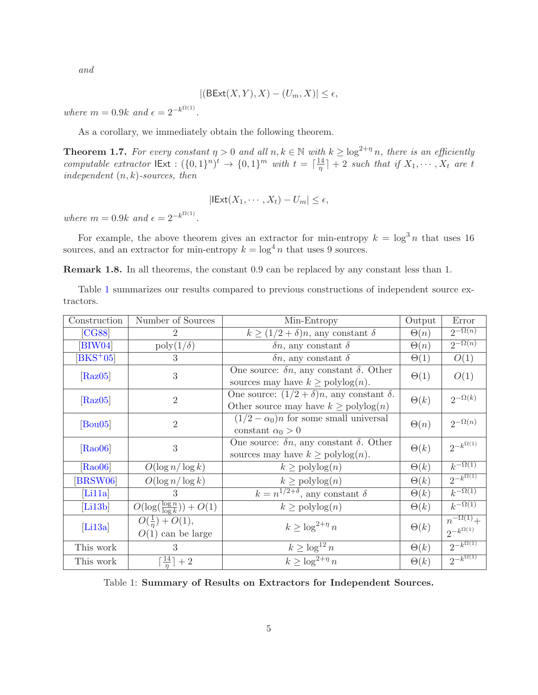and

$$
|(\mathsf{BExt}(X,Y),X)-(U_m,X)|\leq\epsilon,
$$

where  $m = 0.9k$  and  $\epsilon = 2^{-k^{\Omega(1)}}$ .

As a corollary, we immediately obtain the following theorem.

**Theorem 1.7.** For every constant  $\eta > 0$  and all  $n, k \in \mathbb{N}$  with  $k \geq \log^{2+\eta} n$ , there is an efficiently computable extractor  $\text{IExt}: (\{0,1\}^n)^t \to \{0,1\}^m$  with  $t = \lceil \frac{14}{\eta} \rceil$  $\left[\frac{14}{\eta}\right] + 2$  such that if  $X_1, \cdots, X_t$  are t independent  $(n, k)$ -sources, then

$$
|\mathsf{IExt}(X_1,\cdots,X_t)-U_m|\leq \epsilon,
$$

where  $m = 0.9k$  and  $\epsilon = 2^{-k^{\Omega(1)}}$ .

For example, the above theorem gives an extractor for min-entropy  $k = \log^3 n$  that uses 16 sources, and an extractor for min-entropy  $k = \log^4 n$  that uses 9 sources.

Remark 1.8. In all theorems, the constant 0.9 can be replaced by any constant less than 1.

Table [1](#page-5-0) summarizes our results compared to previous constructions of independent source extractors.

| Construction                | Number of Sources                               | Min-Entropy                                                                                                 | Output      | Error                                     |
|-----------------------------|-------------------------------------------------|-------------------------------------------------------------------------------------------------------------|-------------|-------------------------------------------|
| [CG88]                      |                                                 | $k \geq (1/2 + \delta)n$ , any constant $\delta$                                                            | $\Theta(n)$ | $2^{-\Omega(n)}$                          |
| $\left[\text{BIW04}\right]$ | $\text{poly}(1/\delta)$                         | $\delta n$ , any constant $\delta$                                                                          | $\Theta(n)$ | $2^{-\Omega(n)}$                          |
| $[BKS+05]$                  | 3                                               | $\delta n$ , any constant $\delta$                                                                          | $\Theta(1)$ | O(1)                                      |
| [Raz05]                     | 3                                               | One source: $\delta n$ , any constant $\delta$ . Other<br>sources may have $k \geq \text{polylog}(n)$ .     | $\Theta(1)$ | O(1)                                      |
| [Raz05]                     | $\overline{2}$                                  | One source: $(1/2 + \delta)n$ , any constant $\delta$ .<br>Other source may have $k \geq \text{polylog}(n)$ | $\Theta(k)$ | $2^{-\Omega(k)}$                          |
| $[$ Bou $05]$               | $\overline{2}$                                  | $(1/2 - \alpha_0)n$ for some small universal<br>constant $\alpha_0 > 0$                                     | $\Theta(n)$ | $2^{-\Omega(n)}$                          |
| [Ra006]                     | 3                                               | One source: $\delta n$ , any constant $\delta$ . Other<br>sources may have $k \geq \text{polylog}(n)$ .     | $\Theta(k)$ | $2^{-k^{\Omega(1)}}$                      |
| [Ra006]                     | $O(\log n/\log k)$                              | $k \geq \text{polylog}(n)$                                                                                  | $\Theta(k)$ | $k^{-\Omega(1)}$                          |
| [BRSW06]                    | $O(\log n/\log k)$                              | $k \geq \text{polylog}(n)$                                                                                  | $\Theta(k)$ | $2^{-k^{\Omega(1)}}$                      |
| [Li11a]                     | 3                                               | $k = n^{1/2+\delta}$ , any constant $\delta$                                                                | $\Theta(k)$ | $k^{-\Omega(1)}$                          |
| [Li13b]                     | $O(\log(\frac{\log n}{\log k})) + O(1)$         | $k \geq \text{polylog}(n)$                                                                                  | $\Theta(k)$ | $k^{-\Omega(1)}$                          |
| [Li13a]                     | $O(\frac{1}{n}) + O(1),$<br>$O(1)$ can be large | $k \geq \log^{2+\eta} n$                                                                                    | $\Theta(k)$ | $n^{-\Omega(1)}+$<br>$2^{-k^{\Omega(1)}}$ |
| This work                   | 3                                               | $k \geq \log^{12} n$                                                                                        | $\Theta(k)$ | $2^{-k^{\Omega(1)}}$                      |
| This work                   | $\lceil \frac{14}{n} \rceil + 2$                | $k \geq \log^{2+\eta} n$                                                                                    | $\Theta(k)$ | $2^{-k^{\Omega(1)}}$                      |

<span id="page-5-0"></span>Table 1: Summary of Results on Extractors for Independent Sources.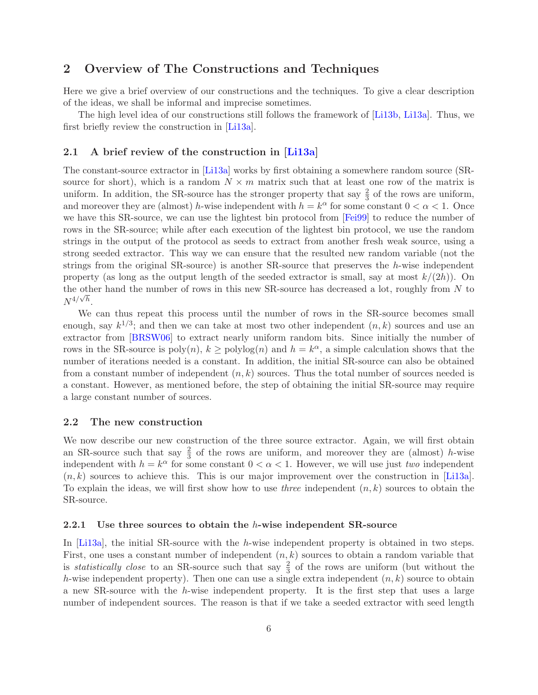# 2 Overview of The Constructions and Techniques

Here we give a brief overview of our constructions and the techniques. To give a clear description of the ideas, we shall be informal and imprecise sometimes.

The high level idea of our constructions still follows the framework of [\[Li13b,](#page--1-6) [Li13a\]](#page-29-9). Thus, we first briefly review the construction in [\[Li13a\]](#page-29-9).

### 2.1 A brief review of the construction in  $|Li13a|$

The constant-source extractor in [\[Li13a\]](#page-29-9) works by first obtaining a somewhere random source (SRsource for short), which is a random  $N \times m$  matrix such that at least one row of the matrix is uniform. In addition, the SR-source has the stronger property that say  $\frac{2}{3}$  of the rows are uniform, and moreover they are (almost) h-wise independent with  $h = k^{\alpha}$  for some constant  $0 < \alpha < 1$ . Once we have this SR-source, we can use the lightest bin protocol from [\[Fei99\]](#page-29-10) to reduce the number of rows in the SR-source; while after each execution of the lightest bin protocol, we use the random strings in the output of the protocol as seeds to extract from another fresh weak source, using a strong seeded extractor. This way we can ensure that the resulted new random variable (not the strings from the original  $SR$ -source) is another  $SR$ -source that preserves the h-wise independent property (as long as the output length of the seeded extractor is small, say at most  $k/(2h)$ ). On the other hand the number of rows in this new SR-source has decreased a lot, roughly from N to  $N^{4/\sqrt{h}}$ .

We can thus repeat this process until the number of rows in the SR-source becomes small enough, say  $k^{1/3}$ ; and then we can take at most two other independent  $(n, k)$  sources and use an extractor from [\[BRSW06\]](#page-28-3) to extract nearly uniform random bits. Since initially the number of rows in the SR-source is  $poly(n)$ ,  $k \geq polylog(n)$  and  $h = k^{\alpha}$ , a simple calculation shows that the number of iterations needed is a constant. In addition, the initial SR-source can also be obtained from a constant number of independent  $(n, k)$  sources. Thus the total number of sources needed is a constant. However, as mentioned before, the step of obtaining the initial SR-source may require a large constant number of sources.

### 2.2 The new construction

We now describe our new construction of the three source extractor. Again, we will first obtain an SR-source such that say  $\frac{2}{3}$  of the rows are uniform, and moreover they are (almost) h-wise independent with  $h = k^{\alpha}$  for some constant  $0 < \alpha < 1$ . However, we will use just two independent  $(n, k)$  sources to achieve this. This is our major improvement over the construction in [\[Li13a\]](#page-29-9). To explain the ideas, we will first show how to use *three* independent  $(n, k)$  sources to obtain the SR-source.

#### 2.2.1 Use three sources to obtain the h-wise independent SR-source

In  $[L13a]$ , the initial SR-source with the h-wise independent property is obtained in two steps. First, one uses a constant number of independent  $(n, k)$  sources to obtain a random variable that is *statistically close* to an SR-source such that say  $\frac{2}{3}$  of the rows are uniform (but without the h-wise independent property). Then one can use a single extra independent  $(n, k)$  source to obtain a new SR-source with the h-wise independent property. It is the first step that uses a large number of independent sources. The reason is that if we take a seeded extractor with seed length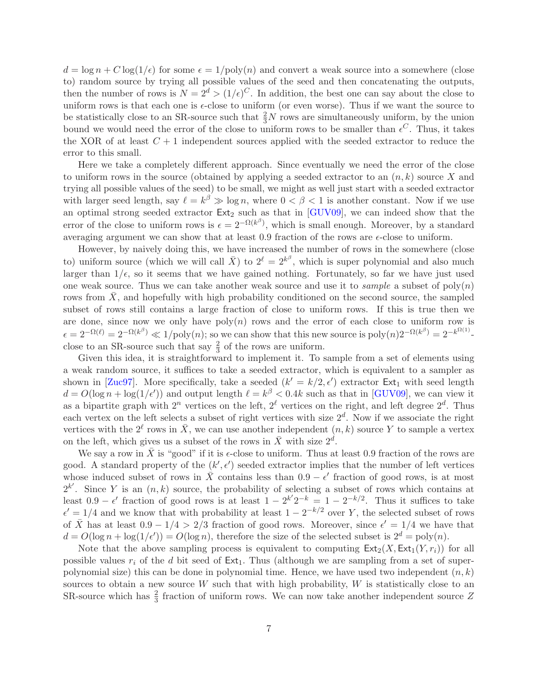$d = \log n + C \log(1/\epsilon)$  for some  $\epsilon = 1/\text{poly}(n)$  and convert a weak source into a somewhere (close to) random source by trying all possible values of the seed and then concatenating the outputs, then the number of rows is  $N = 2^d > (1/\epsilon)^C$ . In addition, the best one can say about the close to uniform rows is that each one is  $\epsilon$ -close to uniform (or even worse). Thus if we want the source to be statistically close to an SR-source such that  $\frac{2}{3}N$  rows are simultaneously uniform, by the union bound we would need the error of the close to uniform rows to be smaller than  $\epsilon^C$ . Thus, it takes the XOR of at least  $C + 1$  independent sources applied with the seeded extractor to reduce the error to this small.

Here we take a completely different approach. Since eventually we need the error of the close to uniform rows in the source (obtained by applying a seeded extractor to an  $(n, k)$  source X and trying all possible values of the seed) to be small, we might as well just start with a seeded extractor with larger seed length, say  $\ell = k^{\beta} \gg \log n$ , where  $0 < \beta < 1$  is another constant. Now if we use an optimal strong seeded extractor  $Ext_2$  such as that in [\[GUV09\]](#page-29-0), we can indeed show that the error of the close to uniform rows is  $\epsilon = 2^{-\Omega(k^{\beta})}$ , which is small enough. Moreover, by a standard averaging argument we can show that at least 0.9 fraction of the rows are  $\epsilon$ -close to uniform.

However, by naively doing this, we have increased the number of rows in the somewhere (close to) uniform source (which we will call  $\bar{X}$ ) to  $2^{\ell} = 2^{k^{\beta}}$ , which is super polynomial and also much larger than  $1/\epsilon$ , so it seems that we have gained nothing. Fortunately, so far we have just used one weak source. Thus we can take another weak source and use it to *sample* a subset of  $poly(n)$ rows from  $X$ , and hopefully with high probability conditioned on the second source, the sampled subset of rows still contains a large fraction of close to uniform rows. If this is true then we are done, since now we only have  $poly(n)$  rows and the error of each close to uniform row is  $\epsilon = 2^{-\Omega(\ell)} = 2^{-\Omega(k^{\beta})} \ll 1/\text{poly}(n)$ ; so we can show that this new source is  $\text{poly}(n)2^{-\Omega(k^{\beta})} = 2^{-k^{\Omega(1)}}$ close to an SR-source such that say  $\frac{2}{3}$  of the rows are uniform.

Given this idea, it is straightforward to implement it. To sample from a set of elements using a weak random source, it suffices to take a seeded extractor, which is equivalent to a sampler as shown in [\[Zuc97\]](#page--1-7). More specifically, take a seeded  $(k' = k/2, \epsilon')$  extractor  $Ext_1$  with seed length  $d = O(\log n + \log(1/\epsilon))$  and output length  $\ell = k^{\beta} < 0.4k$  such as that in [\[GUV09\]](#page-29-0), we can view it as a bipartite graph with  $2^n$  vertices on the left,  $2^{\ell}$  vertices on the right, and left degree  $2^d$ . Thus each vertex on the left selects a subset of right vertices with size  $2<sup>d</sup>$ . Now if we associate the right vertices with the  $2^{\ell}$  rows in  $\bar{X}$ , we can use another independent  $(n, k)$  source Y to sample a vertex on the left, which gives us a subset of the rows in  $\bar{X}$  with size  $2^{\tilde{d}}$ .

We say a row in  $\bar{X}$  is "good" if it is  $\epsilon$ -close to uniform. Thus at least 0.9 fraction of the rows are good. A standard property of the  $(k', \epsilon')$  seeded extractor implies that the number of left vertices whose induced subset of rows in  $\bar{X}$  contains less than  $0.9 - \epsilon'$  fraction of good rows, is at most  $2^{k'}$ . Since Y is an  $(n, k)$  source, the probability of selecting a subset of rows which contains at least  $0.9 - \epsilon'$  fraction of good rows is at least  $1 - 2^{k'} 2^{-k} = 1 - 2^{-k/2}$ . Thus it suffices to take  $\epsilon' = 1/4$  and we know that with probability at least  $1 - 2^{-k/2}$  over Y, the selected subset of rows of  $\overline{X}$  has at least  $0.9 - 1/4 > 2/3$  fraction of good rows. Moreover, since  $\epsilon' = 1/4$  we have that  $d = O(\log n + \log(1/\epsilon)) = O(\log n)$ , therefore the size of the selected subset is  $2^d = \text{poly}(n)$ .

Note that the above sampling process is equivalent to computing  $\text{Ext}_2(X, \text{Ext}_1(Y, r_i))$  for all possible values  $r_i$  of the d bit seed of  $Ext_1$ . Thus (although we are sampling from a set of superpolynomial size) this can be done in polynomial time. Hence, we have used two independent  $(n, k)$ sources to obtain a new source  $W$  such that with high probability,  $W$  is statistically close to an SR-source which has  $\frac{2}{3}$  fraction of uniform rows. We can now take another independent source Z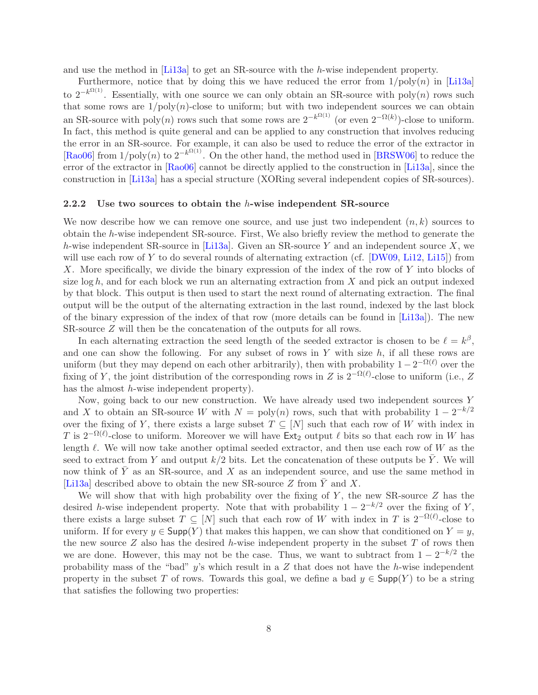and use the method in [\[Li13a\]](#page-29-9) to get an SR-source with the h-wise independent property.

Furthermore, notice that by doing this we have reduced the error from  $1/\text{poly}(n)$  in [\[Li13a\]](#page-29-9) to  $2^{-k^{\Omega(1)}}$ . Essentially, with one source we can only obtain an SR-source with poly $(n)$  rows such that some rows are  $1/\text{poly}(n)$ -close to uniform; but with two independent sources we can obtain an SR-source with poly(n) rows such that some rows are  $2^{-k^{\Omega(1)}}$  (or even  $2^{-\Omega(k)}$ )-close to uniform. In fact, this method is quite general and can be applied to any construction that involves reducing the error in an SR-source. For example, it can also be used to reduce the error of the extractor in [\[Rao06\]](#page--1-5) from  $1/\text{poly}(n)$  to  $2^{-k^{\Omega(1)}}$ . On the other hand, the method used in [\[BRSW06\]](#page-28-3) to reduce the error of the extractor in [\[Rao06\]](#page--1-5) cannot be directly applied to the construction in [\[Li13a\]](#page-29-9), since the construction in [\[Li13a\]](#page-29-9) has a special structure (XORing several independent copies of SR-sources).

#### 2.2.2 Use two sources to obtain the  $h$ -wise independent SR-source

We now describe how we can remove one source, and use just two independent  $(n, k)$  sources to obtain the h-wise independent SR-source. First, We also briefly review the method to generate the h-wise independent SR-source in [\[Li13a\]](#page-29-9). Given an SR-source Y and an independent source X, we will use each row of Y to do several rounds of alternating extraction (cf. [\[DW09,](#page-29-11) [Li12,](#page-29-12) [Li15\]](#page--1-8)) from X. More specifically, we divide the binary expression of the index of the row of Y into blocks of size  $\log h$ , and for each block we run an alternating extraction from X and pick an output indexed by that block. This output is then used to start the next round of alternating extraction. The final output will be the output of the alternating extraction in the last round, indexed by the last block of the binary expression of the index of that row (more details can be found in [\[Li13a\]](#page-29-9)). The new SR-source Z will then be the concatenation of the outputs for all rows.

In each alternating extraction the seed length of the seeded extractor is chosen to be  $\ell = k^{\beta}$ , and one can show the following. For any subset of rows in Y with size  $h$ , if all these rows are uniform (but they may depend on each other arbitrarily), then with probability  $1 - 2^{-\Omega(\ell)}$  over the fixing of Y, the joint distribution of the corresponding rows in Z is  $2^{-\Omega(\ell)}$ -close to uniform (i.e., Z has the almost *h*-wise independent property).

Now, going back to our new construction. We have already used two independent sources Y and X to obtain an SR-source W with  $N = \text{poly}(n)$  rows, such that with probability  $1 - 2^{-k/2}$ over the fixing of Y, there exists a large subset  $T \subseteq [N]$  such that each row of W with index in T is  $2^{-\Omega(\ell)}$ -close to uniform. Moreover we will have  $Ext_2$  output  $\ell$  bits so that each row in W has length  $\ell$ . We will now take another optimal seeded extractor, and then use each row of W as the seed to extract from Y and output  $k/2$  bits. Let the concatenation of these outputs be  $\overline{Y}$ . We will now think of  $\overline{Y}$  as an SR-source, and X as an independent source, and use the same method in [\[Li13a\]](#page-29-9) described above to obtain the new SR-source Z from  $\overline{Y}$  and X.

We will show that with high probability over the fixing of  $Y$ , the new SR-source  $Z$  has the desired h-wise independent property. Note that with probability  $1 - 2^{-k/2}$  over the fixing of Y, there exists a large subset  $T \subseteq [N]$  such that each row of W with index in T is  $2^{-\Omega(\ell)}$ -close to uniform. If for every  $y \in \mathsf{Supp}(Y)$  that makes this happen, we can show that conditioned on  $Y = y$ , the new source  $Z$  also has the desired h-wise independent property in the subset  $T$  of rows then we are done. However, this may not be the case. Thus, we want to subtract from  $1 - 2^{-k/2}$  the probability mass of the "bad"  $y$ 's which result in a  $Z$  that does not have the h-wise independent property in the subset T of rows. Towards this goal, we define a bad  $y \in \text{Supp}(Y)$  to be a string that satisfies the following two properties: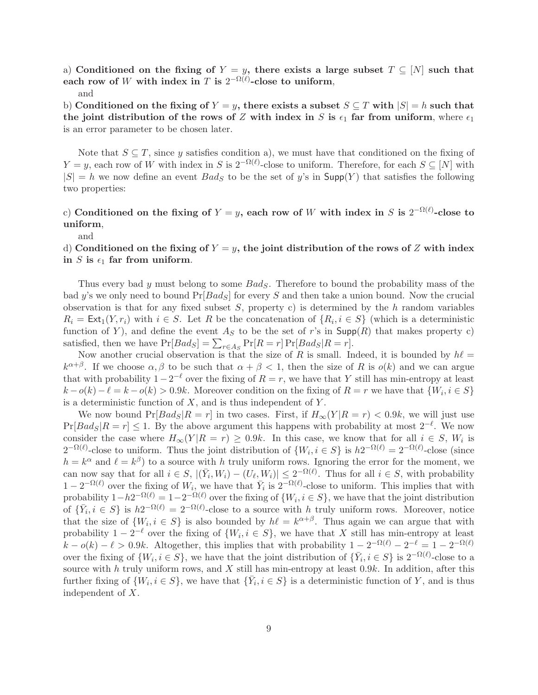a) Conditioned on the fixing of  $Y = y$ , there exists a large subset  $T \subseteq [N]$  such that each row of W with index in T is  $2^{-\Omega(\ell)}$ -close to uniform,

#### and

b) Conditioned on the fixing of  $Y = y$ , there exists a subset  $S \subseteq T$  with  $|S| = h$  such that the joint distribution of the rows of Z with index in S is  $\epsilon_1$  far from uniform, where  $\epsilon_1$ is an error parameter to be chosen later.

Note that  $S \subseteq T$ , since y satisfies condition a), we must have that conditioned on the fixing of  $Y = y$ , each row of W with index in S is  $2^{-\Omega(\ell)}$ -close to uniform. Therefore, for each  $S \subseteq [N]$  with  $|S| = h$  we now define an event  $Bad_S$  to be the set of y's in  $\text{Supp}(Y)$  that satisfies the following two properties:

### c) Conditioned on the fixing of  $Y = y$ , each row of W with index in S is  $2^{-\Omega(\ell)}$ -close to uniform,

and

### d) Conditioned on the fixing of  $Y = y$ , the joint distribution of the rows of Z with index in S is  $\epsilon_1$  far from uniform.

Thus every bad y must belong to some  $Bad_S$ . Therefore to bound the probability mass of the bad y's we only need to bound  $Pr[Bads]$  for every S and then take a union bound. Now the crucial observation is that for any fixed subset  $S$ , property c) is determined by the h random variables  $R_i = \text{Ext}_1(Y, r_i)$  with  $i \in S$ . Let R be the concatenation of  $\{R_i, i \in S\}$  (which is a deterministic function of Y), and define the event  $A<sub>S</sub>$  to be the set of r's in Supp(R) that makes property c) satisfied, then we have  $Pr[Bad_S] = \sum_{r \in As} Pr[R = r] Pr[Bad_S|R = r]$ .

Now another crucial observation is that the size of R is small. Indeed, it is bounded by  $h\ell =$  $k^{\alpha+\beta}$ . If we choose  $\alpha, \beta$  to be such that  $\alpha + \beta < 1$ , then the size of R is  $o(k)$  and we can argue that with probability  $1-2^{-\ell}$  over the fixing of  $R = r$ , we have that Y still has min-entropy at least  $k - o(k) - \ell = k - o(k) > 0.9k$ . Moreover condition on the fixing of  $R = r$  we have that  $\{W_i, i \in S\}$ is a deterministic function of  $X$ , and is thus independent of  $Y$ .

We now bound  $Pr[Bad_S|R = r]$  in two cases. First, if  $H_{\infty}(Y|R = r) < 0.9k$ , we will just use  $Pr[Bads|R = r] \leq 1$ . By the above argument this happens with probability at most  $2^{-\ell}$ . We now consider the case where  $H_{\infty}(Y|R = r) \ge 0.9k$ . In this case, we know that for all  $i \in S$ ,  $W_i$  is  $2^{-\Omega(\ell)}$ -close to uniform. Thus the joint distribution of  $\{W_i, i \in S\}$  is  $h2^{-\Omega(\ell)} = 2^{-\Omega(\ell)}$ -close (since  $h = k^{\alpha}$  and  $\ell = k^{\beta}$ ) to a source with h truly uniform rows. Ignoring the error for the moment, we can now say that for all  $i \in S$ ,  $|(\bar{Y}_i, W_i) - (U_\ell, W_i)| \leq 2^{-\Omega(\ell)}$ . Thus for all  $i \in S$ , with probability  $1-2^{-\Omega(\ell)}$  over the fixing of  $W_i$ , we have that  $\overline{Y}_i$  is  $2^{-\Omega(\ell)}$ -close to uniform. This implies that with probability  $1-h2^{-\Omega(\ell)}=1-2^{-\Omega(\ell)}$  over the fixing of  $\{W_i, i \in S\}$ , we have that the joint distribution of  $\{\bar{Y}_i, i \in S\}$  is  $h2^{-\Omega(\ell)} = 2^{-\Omega(\ell)}$ -close to a source with h truly uniform rows. Moreover, notice that the size of  $\{W_i, i \in S\}$  is also bounded by  $h\ell = k^{\alpha+\beta}$ . Thus again we can argue that with probability  $1 - 2^{-\ell}$  over the fixing of  $\{W_i, i \in S\}$ , we have that X still has min-entropy at least  $k - o(k) - \ell > 0.9k$ . Altogether, this implies that with probability  $1 - 2^{-\Omega(\ell)} - 2^{-\ell} = 1 - 2^{-\Omega(\ell)}$ over the fixing of  $\{W_i, i \in S\}$ , we have that the joint distribution of  $\{\bar{Y}_i, i \in S\}$  is  $2^{-\Omega(\ell)}$ -close to a source with h truly uniform rows, and X still has min-entropy at least  $0.9k$ . In addition, after this further fixing of  $\{W_i, i \in S\}$ , we have that  $\{\bar{Y}_i, i \in S\}$  is a deterministic function of Y, and is thus independent of X.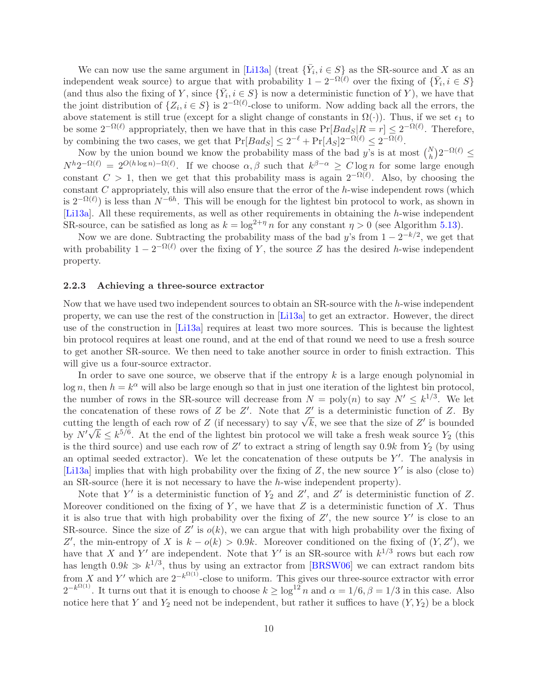We can now use the same argument in [\[Li13a\]](#page-29-9) (treat  $\{\bar{Y}_i, i \in S\}$  as the SR-source and X as an independent weak source) to argue that with probability  $1 - 2^{-\Omega(\ell)}$  over the fixing of  $\{\bar{Y}_i, i \in S\}$ (and thus also the fixing of Y, since  $\{\bar{Y}_i, i \in S\}$  is now a deterministic function of Y), we have that the joint distribution of  $\{Z_i, i \in S\}$  is  $2^{-\Omega(\ell)}$ -close to uniform. Now adding back all the errors, the above statement is still true (except for a slight change of constants in  $\Omega(\cdot)$ ). Thus, if we set  $\epsilon_1$  to be some  $2^{-\Omega(\ell)}$  appropriately, then we have that in this case  $Pr[Bads|R = r] \leq 2^{-\Omega(\ell)}$ . Therefore, by combining the two cases, we get that  $Pr[Bad_S] \leq 2^{-\ell} + Pr[A_S]2^{-\Omega(\ell)} \leq 2^{-\Omega(\ell)}$ .

Now by the union bound we know the probability mass of the bad y's is at most  $\binom{N}{h} 2^{-\Omega(\ell)} \leq$  $N^h 2^{-\Omega(\ell)} = 2^{O(h \log n) - \Omega(\ell)}$ . If we choose  $\alpha, \beta$  such that  $k^{\beta - \alpha} \geq C \log n$  for some large enough constant  $C > 1$ , then we get that this probability mass is again  $2^{-\Omega(\ell)}$ . Also, by choosing the constant  $C$  appropriately, this will also ensure that the error of the  $h$ -wise independent rows (which is  $2^{-\Omega(\ell)}$  is less than  $N^{-6h}$ . This will be enough for the lightest bin protocol to work, as shown in [\[Li13a\]](#page-29-9). All these requirements, as well as other requirements in obtaining the h-wise independent SR-source, can be satisfied as long as  $k = \log^{2+\eta} n$  for any constant  $\eta > 0$  (see Algorithm [5.13\)](#page-24-0).

Now we are done. Subtracting the probability mass of the bad y's from  $1 - 2^{-k/2}$ , we get that with probability  $1 - 2^{-\Omega(\ell)}$  over the fixing of Y, the source Z has the desired h-wise independent property.

#### 2.2.3 Achieving a three-source extractor

Now that we have used two independent sources to obtain an SR-source with the h-wise independent property, we can use the rest of the construction in [\[Li13a\]](#page-29-9) to get an extractor. However, the direct use of the construction in [\[Li13a\]](#page-29-9) requires at least two more sources. This is because the lightest bin protocol requires at least one round, and at the end of that round we need to use a fresh source to get another SR-source. We then need to take another source in order to finish extraction. This will give us a four-source extractor.

In order to save one source, we observe that if the entropy  $k$  is a large enough polynomial in  $\log n$ , then  $h = k^{\alpha}$  will also be large enough so that in just one iteration of the lightest bin protocol, the number of rows in the SR-source will decrease from  $N = \text{poly}(n)$  to say  $N' \leq k^{1/3}$ . We let the concatenation of these rows of Z be Z'. Note that  $Z'$  is a deterministic function of Z. By cutting the length of each row of Z (if necessary) to say  $\sqrt{k}$ , we see that the size of Z' is bounded by  $N'\sqrt{k} \leq k^{5/6}$ . At the end of the lightest bin protocol we will take a fresh weak source  $Y_2$  (this is the third source) and use each row of  $Z'$  to extract a string of length say  $0.9k$  from  $Y_2$  (by using an optimal seeded extractor). We let the concatenation of these outputs be  $Y'$ . The analysis in [\[Li13a\]](#page-29-9) implies that with high probability over the fixing of  $Z$ , the new source  $Y'$  is also (close to) an SR-source (here it is not necessary to have the h-wise independent property).

Note that Y' is a deterministic function of  $Y_2$  and Z', and Z' is deterministic function of Z. Moreover conditioned on the fixing of  $Y$ , we have that  $Z$  is a deterministic function of  $X$ . Thus it is also true that with high probability over the fixing of  $Z'$ , the new source Y' is close to an SR-source. Since the size of Z' is  $o(k)$ , we can argue that with high probability over the fixing of Z', the min-entropy of X is  $k - o(k) > 0.9k$ . Moreover conditioned on the fixing of  $(Y, Z')$ , we have that X and Y' are independent. Note that Y' is an SR-source with  $k^{1/3}$  rows but each row has length  $0.9k \gg k^{1/3}$ , thus by using an extractor from [\[BRSW06\]](#page-28-3) we can extract random bits from X and Y' which are  $2^{-k^{\Omega(1)}}$ -close to uniform. This gives our three-source extractor with error  $2^{-k^{\Omega(1)}}$ . It turns out that it is enough to choose  $k \geq \log^{12} n$  and  $\alpha = 1/6$ ,  $\beta = 1/3$  in this case. Also notice here that Y and  $Y_2$  need not be independent, but rather it suffices to have  $(Y, Y_2)$  be a block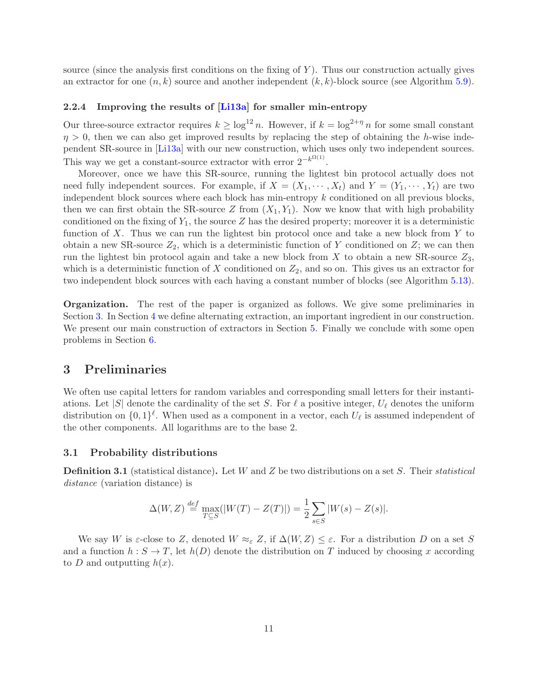source (since the analysis first conditions on the fixing of  $Y$ ). Thus our construction actually gives an extractor for one  $(n, k)$  source and another independent  $(k, k)$ -block source (see Algorithm [5.9\)](#page-21-0).

### 2.2.4 Improving the results of [\[Li13a\]](#page-29-9) for smaller min-entropy

Our three-source extractor requires  $k \geq \log^{12} n$ . However, if  $k = \log^{2+\eta} n$  for some small constant  $\eta > 0$ , then we can also get improved results by replacing the step of obtaining the h-wise independent SR-source in [\[Li13a\]](#page-29-9) with our new construction, which uses only two independent sources. This way we get a constant-source extractor with error  $2^{-k^{\Omega(1)}}$ .

Moreover, once we have this SR-source, running the lightest bin protocol actually does not need fully independent sources. For example, if  $X = (X_1, \dots, X_t)$  and  $Y = (Y_1, \dots, Y_t)$  are two independent block sources where each block has min-entropy  $k$  conditioned on all previous blocks, then we can first obtain the SR-source Z from  $(X_1, Y_1)$ . Now we know that with high probability conditioned on the fixing of  $Y_1$ , the source Z has the desired property; moreover it is a deterministic function of X. Thus we can run the lightest bin protocol once and take a new block from Y to obtain a new SR-source  $Z_2$ , which is a deterministic function of Y conditioned on Z; we can then run the lightest bin protocol again and take a new block from X to obtain a new SR-source  $Z_3$ , which is a deterministic function of X conditioned on  $Z_2$ , and so on. This gives us an extractor for two independent block sources with each having a constant number of blocks (see Algorithm [5.13\)](#page-24-0).

Organization. The rest of the paper is organized as follows. We give some preliminaries in Section [3.](#page-11-0) In Section [4](#page-13-0) we define alternating extraction, an important ingredient in our construction. We present our main construction of extractors in Section [5.](#page-14-0) Finally we conclude with some open problems in Section [6.](#page-28-4)

### <span id="page-11-0"></span>3 Preliminaries

We often use capital letters for random variables and corresponding small letters for their instantiations. Let |S| denote the cardinality of the set S. For  $\ell$  a positive integer,  $U_{\ell}$  denotes the uniform distribution on  $\{0,1\}^{\ell}$ . When used as a component in a vector, each  $U_{\ell}$  is assumed independent of the other components. All logarithms are to the base 2.

#### 3.1 Probability distributions

**Definition 3.1** (statistical distance). Let W and Z be two distributions on a set S. Their statistical distance (variation distance) is

$$
\Delta(W, Z) \stackrel{def}{=} \max_{T \subseteq S} (|W(T) - Z(T)|) = \frac{1}{2} \sum_{s \in S} |W(s) - Z(s)|.
$$

We say W is  $\varepsilon$ -close to Z, denoted  $W \approx_{\varepsilon} Z$ , if  $\Delta(W, Z) \leq \varepsilon$ . For a distribution D on a set S and a function  $h : S \to T$ , let  $h(D)$  denote the distribution on T induced by choosing x according to D and outputting  $h(x)$ .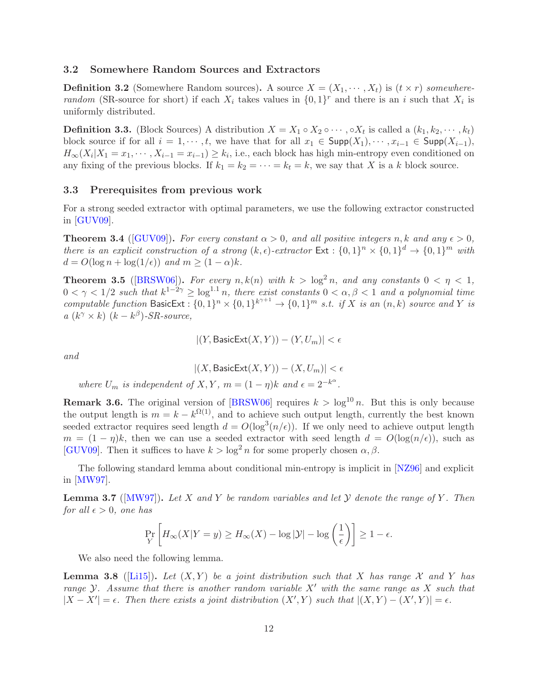### 3.2 Somewhere Random Sources and Extractors

**Definition 3.2** (Somewhere Random sources). A source  $X = (X_1, \dots, X_t)$  is  $(t \times r)$  somewhererandom (SR-source for short) if each  $X_i$  takes values in  $\{0,1\}^r$  and there is an i such that  $X_i$  is uniformly distributed.

**Definition 3.3.** (Block Sources) A distribution  $X = X_1 \circ X_2 \circ \cdots, \circ X_t$  is called a  $(k_1, k_2, \cdots, k_t)$ block source if for all  $i = 1, \dots, t$ , we have that for all  $x_1 \in \text{Supp}(X_1), \dots, x_{i-1} \in \text{Supp}(X_{i-1}),$  $H_{\infty}(X_i|X_1=x_1,\dots,X_{i-1}=x_{i-1})\geq k_i$ , i.e., each block has high min-entropy even conditioned on any fixing of the previous blocks. If  $k_1 = k_2 = \cdots = k_t = k$ , we say that X is a k block source.

### 3.3 Prerequisites from previous work

For a strong seeded extractor with optimal parameters, we use the following extractor constructed in  $[GUV09]$ .

<span id="page-12-0"></span>**Theorem 3.4** ([\[GUV09\]](#page-29-0)). For every constant  $\alpha > 0$ , and all positive integers n, k and any  $\epsilon > 0$ , there is an explicit construction of a strong  $(k, \epsilon)$ -extractor  $Ext : \{0,1\}^n \times \{0,1\}^d \to \{0,1\}^m$  with  $d = O(\log n + \log(1/\epsilon))$  and  $m \geq (1 - \alpha)k$ .

<span id="page-12-3"></span>**Theorem 3.5** ([\[BRSW06\]](#page-28-3)). For every  $n, k(n)$  with  $k > log^2 n$ , and any constants  $0 < \eta < 1$ ,  $0 < \gamma < 1/2$  such that  $k^{1-2\gamma} \geq \log^{1.1} n$ , there exist constants  $0 < \alpha, \beta < 1$  and a polynomial time computable function BasicExt :  $\{0,1\}^n \times \{0,1\}^{k^{\gamma+1}} \to \{0,1\}^m$  s.t. if X is an  $(n, k)$  source and Y is  $a(k^{\gamma} \times k)$   $(k - k^{\beta})$ -SR-source,

$$
|(Y, \text{BasicExt}(X, Y)) - (Y, U_m)| < \epsilon
$$

and

$$
|(X,{\sf BasicExt}(X,Y))-(X,U_m)|<\epsilon
$$

where  $U_m$  is independent of  $X, Y, m = (1 - \eta)k$  and  $\epsilon = 2^{-k^{\alpha}}$ .

**Remark 3.6.** The original version of [\[BRSW06\]](#page-28-3) requires  $k > log^{10} n$ . But this is only because the output length is  $m = k - k^{\Omega(1)}$ , and to achieve such output length, currently the best known seeded extractor requires seed length  $d = O(\log^3(n/\epsilon))$ . If we only need to achieve output length  $m = (1 - \eta)k$ , then we can use a seeded extractor with seed length  $d = O(\log(n/\epsilon))$ , such as [\[GUV09\]](#page-29-0). Then it suffices to have  $k > \log^2 n$  for some properly chosen  $\alpha, \beta$ .

The following standard lemma about conditional min-entropy is implicit in [\[NZ96\]](#page--1-2) and explicit in [\[MW97\]](#page--1-9).

<span id="page-12-2"></span>**Lemma 3.7** ( $[MW97]$ ). Let X and Y be random variables and let Y denote the range of Y. Then for all  $\epsilon > 0$ , one has

$$
\Pr_{Y} \left[ H_{\infty}(X|Y=y) \ge H_{\infty}(X) - \log |\mathcal{Y}| - \log \left( \frac{1}{\epsilon} \right) \right] \ge 1 - \epsilon.
$$

We also need the following lemma.

<span id="page-12-1"></span>**Lemma 3.8** ([\[Li15\]](#page--1-8)). Let  $(X, Y)$  be a joint distribution such that X has range X and Y has range Y. Assume that there is another random variable  $X'$  with the same range as X such that  $|X - X'| = \epsilon$ . Then there exists a joint distribution  $(X', Y)$  such that  $|(X, Y) - (X', Y)| = \epsilon$ .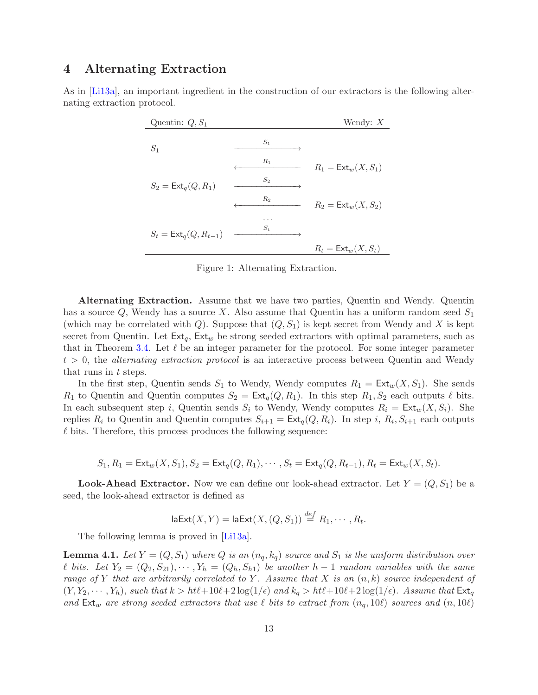# <span id="page-13-0"></span>4 Alternating Extraction

As in [\[Li13a\]](#page-29-9), an important ingredient in the construction of our extractors is the following alternating extraction protocol.

| Quentin: $Q, S_1$                  |       | Wendy: $X$                   |
|------------------------------------|-------|------------------------------|
| $S_1$                              | $S_1$ |                              |
|                                    | $R_1$ | $R_1 = \text{Ext}_w(X, S_1)$ |
| $S_2 = \text{Ext}_q(Q, R_1)$       | $S_2$ |                              |
|                                    | $R_2$ | $R_2 = \text{Ext}_w(X, S_2)$ |
|                                    |       |                              |
| $S_t = \mathsf{Ext}_q(Q, R_{t-1})$ | $S_t$ |                              |
|                                    |       | $R_t = \text{Ext}_w(X, S_t)$ |

Figure 1: Alternating Extraction.

Alternating Extraction. Assume that we have two parties, Quentin and Wendy. Quentin has a source  $Q$ , Wendy has a source X. Also assume that Quentin has a uniform random seed  $S_1$ (which may be correlated with  $Q$ ). Suppose that  $(Q, S_1)$  is kept secret from Wendy and X is kept secret from Quentin. Let  $Ext_q$ ,  $Ext_w$  be strong seeded extractors with optimal parameters, such as that in Theorem [3.4.](#page-12-0) Let  $\ell$  be an integer parameter for the protocol. For some integer parameter  $t > 0$ , the *alternating extraction protocol* is an interactive process between Quentin and Wendy that runs in t steps.

In the first step, Quentin sends  $S_1$  to Wendy, Wendy computes  $R_1 = \text{Ext}_w(X, S_1)$ . She sends  $R_1$  to Quentin and Quentin computes  $S_2 = \text{Ext}_q(Q, R_1)$ . In this step  $R_1, S_2$  each outputs  $\ell$  bits. In each subsequent step i, Quentin sends  $S_i$  to Wendy, Wendy computes  $R_i = \text{Ext}_w(X, S_i)$ . She replies  $R_i$  to Quentin and Quentin computes  $S_{i+1} = \text{Ext}_q(Q, R_i)$ . In step i,  $R_i, S_{i+1}$  each outputs  $\ell$  bits. Therefore, this process produces the following sequence:

$$
S_1, R_1 = \text{Ext}_w(X, S_1), S_2 = \text{Ext}_q(Q, R_1), \cdots, S_t = \text{Ext}_q(Q, R_{t-1}), R_t = \text{Ext}_w(X, S_t).
$$

**Look-Ahead Extractor.** Now we can define our look-ahead extractor. Let  $Y = (Q, S_1)$  be a seed, the look-ahead extractor is defined as

$$
\mathsf{laExt}(X,Y) = \mathsf{laExt}(X,(Q,S_1)) \stackrel{def}{=} R_1,\cdots,R_t.
$$

The following lemma is proved in [\[Li13a\]](#page-29-9).

**Lemma 4.1.** Let  $Y = (Q, S_1)$  where Q is an  $(n_q, k_q)$  source and  $S_1$  is the uniform distribution over l bits. Let  $Y_2 = (Q_2, S_{21}), \cdots, Y_h = (Q_h, S_{h1})$  be another h − 1 random variables with the same range of Y that are arbitrarily correlated to Y. Assume that X is an  $(n, k)$  source independent of  $(Y, Y_2, \dots, Y_h)$ , such that  $k > ht\ell + 10\ell + 2\log(1/\epsilon)$  and  $k_q > ht\ell + 10\ell + 2\log(1/\epsilon)$ . Assume that  $\text{Ext}_q$ and  $Ext_w$  are strong seeded extractors that use  $\ell$  bits to extract from  $(n_q, 10\ell)$  sources and  $(n, 10\ell)$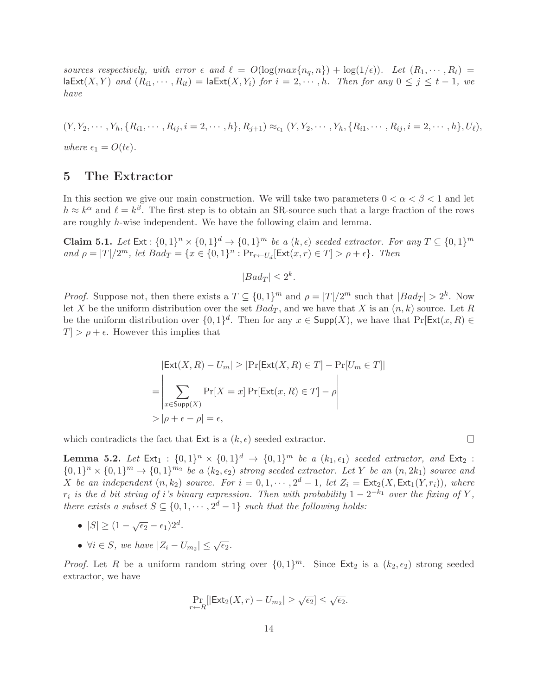sources respectively, with error  $\epsilon$  and  $\ell = O(\log(max\{n_q, n\}) + \log(1/\epsilon))$ . Let  $(R_1, \dots, R_t)$  $\textsf{laExt}(X, Y)$  and  $(R_{i1}, \dots, R_{it}) = \textsf{laExt}(X, Y_i)$  for  $i = 2, \dots, h$ . Then for any  $0 \leq j \leq t - 1$ , we have

 $(Y, Y_2, \dots, Y_h, \{R_{i1}, \dots, R_{ij}, i = 2, \dots, h\}, R_{j+1}) \approx_{\epsilon_1} (Y, Y_2, \dots, Y_h, \{R_{i1}, \dots, R_{ij}, i = 2, \dots, h\}, U_\ell),$ where  $\epsilon_1 = O(t\epsilon)$ .

### <span id="page-14-0"></span>5 The Extractor

In this section we give our main construction. We will take two parameters  $0 < \alpha < \beta < 1$  and let  $h \approx k^{\alpha}$  and  $\ell = k^{\beta}$ . The first step is to obtain an SR-source such that a large fraction of the rows are roughly h-wise independent. We have the following claim and lemma.

<span id="page-14-1"></span>**Claim 5.1.** Let  $Ext : \{0,1\}^n \times \{0,1\}^d \rightarrow \{0,1\}^m$  be a  $(k,\epsilon)$  seeded extractor. For any  $T \subseteq \{0,1\}^m$ and  $\rho = |T|/2^m$ , let  $Bad_T = \{x \in \{0,1\}^n : \Pr_{r \leftarrow U_d}[\text{Ext}(x,r) \in T] > \rho + \epsilon\}$ . Then

 $|Bad_T| \leq 2^k$ .

*Proof.* Suppose not, then there exists a  $T \subseteq \{0,1\}^m$  and  $\rho = |T|/2^m$  such that  $|Bad_T| > 2^k$ . Now let X be the uniform distribution over the set  $Bad_T$ , and we have that X is an  $(n, k)$  source. Let R be the uniform distribution over  $\{0,1\}^d$ . Then for any  $x \in \text{Supp}(X)$ , we have that  $\Pr[\text{Ext}(x, R) \in$  $T > \rho + \epsilon$ . However this implies that

$$
|\text{Ext}(X, R) - U_m| \ge |\text{Pr}[\text{Ext}(X, R) \in T] - \text{Pr}[U_m \in T]|
$$
  
= 
$$
\left| \sum_{x \in \text{Supp}(X)} \text{Pr}[X = x] \text{Pr}[\text{Ext}(x, R) \in T] - \rho \right|
$$
  
>  $|\rho + \epsilon - \rho| = \epsilon$ ,

which contradicts the fact that Ext is a  $(k, \epsilon)$  seeded extractor.

<span id="page-14-2"></span>**Lemma 5.2.** Let  $Ext_1: \{0,1\}^n \times \{0,1\}^d \rightarrow \{0,1\}^m$  be a  $(k_1, \epsilon_1)$  seeded extractor, and  $Ext_2$ :  ${0,1}^n \times {0,1}^m \rightarrow {0,1}^{m_2}$  be a  $(k_2, \epsilon_2)$  strong seeded extractor. Let Y be an  $(n, 2k_1)$  source and X be an independent  $(n, k_2)$  source. For  $i = 0, 1, \cdots, 2^d - 1$ , let  $Z_i = \text{Ext}_2(X, \text{Ext}_1(Y, r_i))$ , where  $r_i$  is the d bit string of i's binary expression. Then with probability  $1 - 2^{-k_1}$  over the fixing of Y, there exists a subset  $S \subseteq \{0, 1, \cdots, 2^d - 1\}$  such that the following holds:

- $|S| \geq (1 \sqrt{\epsilon_2} \epsilon_1)2^d$ .
- $\forall i \in S$ , we have  $|Z_i U_{m_2}| \leq \sqrt{\epsilon_2}$ .

*Proof.* Let R be a uniform random string over  $\{0,1\}^m$ . Since  $Ext_2$  is a  $(k_2, \epsilon_2)$  strong seeded extractor, we have

$$
\Pr_{r \leftarrow R}[|\mathsf{Ext}_2(X,r) - U_{m_2}| \geq \sqrt{\epsilon_2}] \leq \sqrt{\epsilon_2}.
$$

| ۰ |  |
|---|--|
|   |  |
|   |  |
|   |  |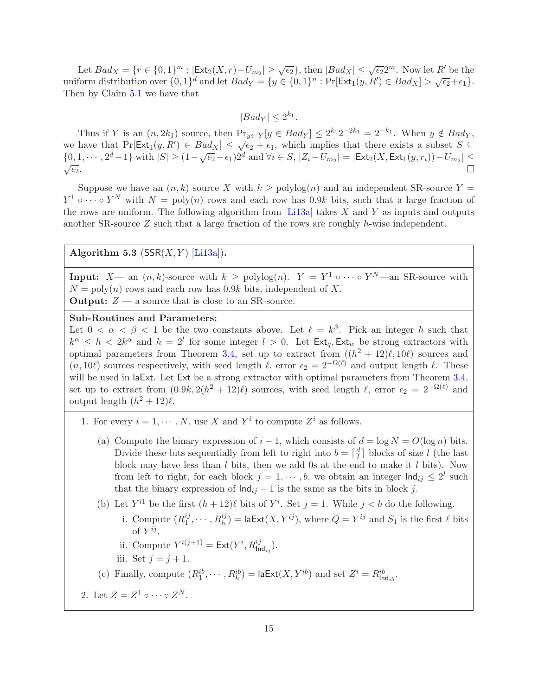Let  $Bad_X = \{r \in \{0,1\}^m : |\text{Ext}_2(X,r) - U_{m_2}| \geq \sqrt{\epsilon_2}\}\$ , then  $|Bad_X| \leq \sqrt{\epsilon_2}2^m$ . Now let R' be the uniform distribution over  $\{0,1\}^d$  and let  $Bad_Y = \{y \in \{0,1\}^n : \Pr[Ext_1(y,R') \in Bad_X] > \sqrt{\epsilon_2} + \epsilon_1\}.$ Then by Claim [5.1](#page-14-1) we have that

 $|Bad_Y| \leq 2^{k_1}.$ 

Thus if Y is an  $(n, 2k_1)$  source, then  $Pr_{y \leftarrow Y} [y \in Bad_Y] \leq 2^{k_1} 2^{-2k_1} = 2^{-k_1}$ . When  $y \notin Bad_Y$ , we have that  $Pr[Ext_1(y, R') \in Bad_X] \leq \sqrt{\epsilon_2} + \epsilon_1$ , which implies that there exists a subset  $S \subseteq$  $\{0, 1, \cdots, 2^d - 1\}$  with  $|S| \ge (1 - \sqrt{\epsilon_2} - \epsilon_1)2^d$  and  $\forall i \in S, |Z_i - U_{m_2}| = |\text{Ext}_2(X, \text{Ext}_1(y, r_i)) - U_{m_2}| \le$  $\sqrt{\epsilon_2}$ .

Suppose we have an  $(n, k)$  source X with  $k \geq \text{polylog}(n)$  and an independent SR-source Y =  $Y^1 \circ \cdots \circ Y^N$  with  $N = \text{poly}(n)$  rows and each row has 0.9k bits, such that a large fraction of the rows are uniform. The following algorithm from  $[L13a]$  takes X and Y as inputs and outputs another SR-source  $Z$  such that a large fraction of the rows are roughly h-wise independent.

<span id="page-15-0"></span>Algorithm 5.3 ( $SSR(X, Y)$  [\[Li13a\]](#page-29-9)).

**Input:**  $X$ — an  $(n, k)$ -source with  $k \geq \text{polylog}(n)$ .  $Y = Y^1 \circ \cdots \circ Y^N$ —an SR-source with  $N = \text{poly}(n)$  rows and each row has 0.9k bits, independent of X. **Output:**  $Z \rightarrow a$  source that is close to an SR-source.

### Sub-Routines and Parameters:

Let  $0 < \alpha < \beta < 1$  be the two constants above. Let  $\ell = k^{\beta}$ . Pick an integer h such that  $k^{\alpha} \leq h < 2k^{\alpha}$  and  $h = 2^{l}$  for some integer  $l > 0$ . Let  $\textsf{Ext}_{q}$ ,  $\textsf{Ext}_{w}$  be strong extractors with optimal parameters from Theorem [3.4,](#page-12-0) set up to extract from  $((h^2 + 12)\ell, 10\ell)$  sources and  $(n, 10\ell)$  sources respectively, with seed length  $\ell$ , error  $\epsilon_2 = 2^{-\Omega(\ell)}$  and output length  $\ell$ . These will be used in laExt. Let Ext be a strong extractor with optimal parameters from Theorem [3.4,](#page-12-0) set up to extract from  $(0.9k, 2(h^2 + 12)\ell)$  sources, with seed length  $\ell$ , error  $\epsilon_2 = 2^{-\Omega(\ell)}$  and output length  $(h^2 + 12)\ell$ .

- 1. For every  $i = 1, \dots, N$ , use X and  $Y^i$  to compute  $Z^i$  as follows.
	- (a) Compute the binary expression of  $i 1$ , which consists of  $d = \log N = O(\log n)$  bits. Divide these bits sequentially from left to right into  $b = \lceil \frac{d}{l} \rceil$  $\frac{d}{l}$  blocks of size l (the last block may have less than  $l$  bits, then we add 0s at the end to make it  $l$  bits). Now from left to right, for each block  $j = 1, \dots, b$ , we obtain an integer  $\text{Ind}_{ij} \leq 2^l$  such that the binary expression of  $\text{Ind}_{ij} - 1$  is the same as the bits in block j.
	- (b) Let  $Y^{i1}$  be the first  $(h+12)\ell$  bits of  $Y^i$ . Set  $j=1$ . While  $j < b$  do the following. i. Compute  $(R_1^{ij})$  $\mathcal{I}_1^{ij}, \cdots, \mathcal{R}_h^{ij}$  = laExt $(X, Y^{ij})$ , where  $Q = Y^{ij}$  and  $S_1$  is the first  $\ell$  bits
		- of  $Y^{ij}$ .
		- ii. Compute  $Y^{i(j+1)} = \text{Ext}(Y^i, R^{ij}_{\text{Ind}_{ij}}).$
		- iii. Set  $j = j + 1$ .
	- (c) Finally, compute  $(R_1^{ib}, \dots, R_h^{ib}) = \textsf{laExt}(X, Y^{ib})$  and set  $Z^i = R_{\textsf{Ind}_{ib}}^{ib}$ .
- 2. Let  $Z = Z^1 \circ \cdots \circ Z^N$ .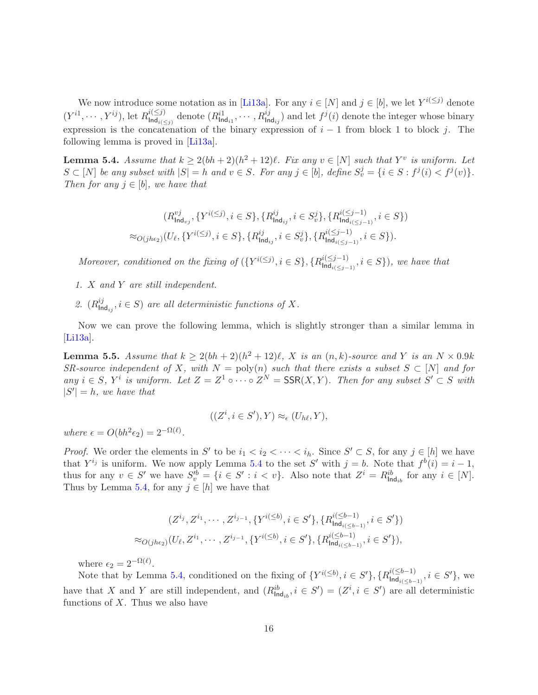We now introduce some notation as in [\[Li13a\]](#page-29-9). For any  $i \in [N]$  and  $j \in [b]$ , we let  $Y^{i(\leq j)}$  denote  $(Y^{i1}, \cdots, Y^{ij}), \text{let } R^{i(\leq j)}_{\mathsf{Ind}_{i(\leq j)}}$  $\lim_{\mathrm{Ind}_{i\leq j}} \text{ denote } (R_{\text{Ind}_{i1}}^{i1}, \dots, R_{\text{Ind}_{ij}}^{ij}) \text{ and let } f^j(i) \text{ denote the integer whose binary matrix is } f^j(i) \text{ and } f^j(i) \text{ and } f^j(i) \text{ denote the integer } i$ expression is the concatenation of the binary expression of  $i - 1$  from block 1 to block j. The following lemma is proved in [\[Li13a\]](#page-29-9).

<span id="page-16-0"></span>**Lemma 5.4.** Assume that  $k \geq 2(bh+2)(h^2+12)\ell$ . Fix any  $v \in [N]$  such that  $Y^v$  is uniform. Let  $S \subset [N]$  be any subset with  $|S| = h$  and  $v \in S$ . For any  $j \in [b]$ , define  $S_v^j = \{i \in S : f^j(i) < f^j(v)\}.$ Then for any  $j \in [b]$ , we have that

$$
(R_{\text{Ind}_{vj}}^{vj}, \{Y^{i(\leq j)}, i \in S\}, \{R_{\text{Ind}_{ij}}^{ij}, i \in S_v^j\}, \{R_{\text{Ind}_{i(\leq j-1)}}^{i(\leq j-1)}, i \in S\})
$$
  

$$
\approx_{O(jhe_2)}(U_{\ell}, \{Y^{i(\leq j)}, i \in S\}, \{R_{\text{Ind}_{ij}}^{ij}, i \in S_v^j\}, \{R_{\text{Ind}_{i(\leq j-1)}}^{i(\leq j-1)}, i \in S\}).
$$

Moreover, conditioned on the fixing of  $({Y^{i(\le j)}}, i \in S, {R^{i(\le j-1)}_{\text{Ind}_{i(< j-1}}})$  $\lim_{i \leq j-1} \{ \sum_{i \in j-1}^n, i \in S \}$ , we have that

- 1. X and Y are still independent.
- 2.  $(R_{\ln}^{ij})$  $\mathcal{I}_{\text{Ind}_{ij}}^{ij}, i \in S$  are all deterministic functions of X.

Now we can prove the following lemma, which is slightly stronger than a similar lemma in [\[Li13a\]](#page-29-9).

<span id="page-16-1"></span>**Lemma 5.5.** Assume that  $k \geq 2(bh+2)(h^2+12)\ell$ , X is an  $(n, k)$ -source and Y is an  $N \times 0.9k$ SR-source independent of X, with  $N = \text{poly}(n)$  such that there exists a subset  $S \subset [N]$  and for any  $i \in S$ ,  $Y^i$  is uniform. Let  $Z = Z^1 \circ \cdots \circ Z^N = \text{SSR}(X, Y)$ . Then for any subset  $S' \subset S$  with  $|S'| = h$ , we have that

$$
((Z^i, i \in S'), Y) \approx_{\epsilon} (U_{h\ell}, Y),
$$

where  $\epsilon = O(bh^2\epsilon_2) = 2^{-\Omega(\ell)}$ .

*Proof.* We order the elements in S' to be  $i_1 < i_2 < \cdots < i_h$ . Since  $S' \subset S$ , for any  $j \in [h]$  we have that  $Y^{i_j}$  is uniform. We now apply Lemma [5.4](#page-16-0) to the set S' with  $j = b$ . Note that  $f^b(i) = i - 1$ , thus for any  $v \in S'$  we have  $S_v'^b = \{i \in S' : i < v\}$ . Also note that  $Z^i = R_{\text{Ind}_{ib}}^{ib}$  for any  $i \in [N]$ . Thus by Lemma [5.4,](#page-16-0) for any  $j \in [h]$  we have that

$$
(Z^{i_j}, Z^{i_1}, \cdots, Z^{i_{j-1}}, \{Y^{i(\leq b)}, i \in S'\}, \{R^{i(\leq b-1)}_{\mathsf{Ind}_{i(\leq b-1)}}, i \in S'\})
$$
  

$$
\approx_{O(jhe_2)}(U_{\ell}, Z^{i_1}, \cdots, Z^{i_{j-1}}, \{Y^{i(\leq b)}, i \in S'\}, \{R^{i(\leq b-1)}_{\mathsf{Ind}_{i(\leq b-1)}}, i \in S'\}),
$$

where  $\epsilon_2 = 2^{-\Omega(\ell)}$ .

Note that by Lemma [5.4,](#page-16-0) conditioned on the fixing of  $\{Y^{i(\leq b)}, i \in S'\}, \{R^{i(\leq b-1)}_{\mathsf{Ind}_{i($  $\lim_{i \leq b-1} \{ \sum_{i=1}^{l} a_i \leq b-1 \}$ , we have that X and Y are still independent, and  $(R_{\text{Ind}_{ib}}^{ib}, i \in S') = (Z^i, i \in S')$  are all deterministic functions of  $X$ . Thus we also have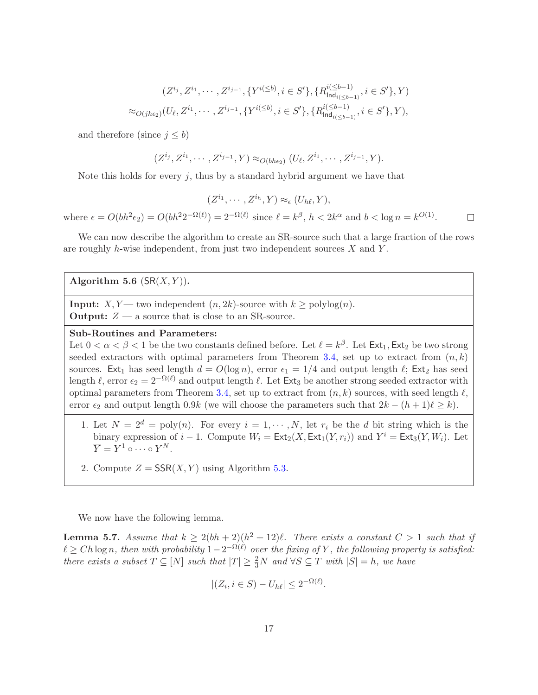$$
(Z^{i_j}, Z^{i_1}, \cdots, Z^{i_{j-1}}, \{Y^{i(\leq b)}, i \in S'\}, \{R^{i(\leq b-1)}_{\text{Ind}_{i(\leq b-1)}}, i \in S'\}, Y)
$$
  

$$
\approx_{O(jhe_2)}(U_{\ell}, Z^{i_1}, \cdots, Z^{i_{j-1}}, \{Y^{i(\leq b)}, i \in S'\}, \{R^{i(\leq b-1)}_{\text{Ind}_{i(\leq b-1)}}, i \in S'\}, Y),
$$

and therefore (since  $j \leq b$ )

$$
(Z^{i_j}, Z^{i_1}, \cdots, Z^{i_{j-1}}, Y) \approx_{O(bhe_2)} (U_{\ell}, Z^{i_1}, \cdots, Z^{i_{j-1}}, Y).
$$

Note this holds for every  $j$ , thus by a standard hybrid argument we have that

$$
(Z^{i_1}, \cdots, Z^{i_h}, Y) \approx_{\epsilon} (U_{h\ell}, Y),
$$
  
where  $\epsilon = O(bh^2\epsilon_2) = O(bh^22^{-\Omega(\ell)}) = 2^{-\Omega(\ell)}$  since  $\ell = k^\beta$ ,  $h < 2k^\alpha$  and  $b < \log n = k^{O(1)}$ .

We can now describe the algorithm to create an SR-source such that a large fraction of the rows are roughly h-wise independent, from just two independent sources  $X$  and  $Y$ .

### <span id="page-17-0"></span>Algorithm 5.6  $(SR(X, Y))$ .

**Input:**  $X, Y$ — two independent  $(n, 2k)$ -source with  $k \geq \text{polylog}(n)$ . **Output:**  $Z - a$  source that is close to an SR-source.

### Sub-Routines and Parameters:

Let  $0 < \alpha < \beta < 1$  be the two constants defined before. Let  $\ell = k^{\beta}$ . Let  $\textsf{Ext}_1, \textsf{Ext}_2$  be two strong seeded extractors with optimal parameters from Theorem [3.4,](#page-12-0) set up to extract from  $(n, k)$ sources. Ext<sub>1</sub> has seed length  $d = O(\log n)$ , error  $\epsilon_1 = 1/4$  and output length  $\ell$ ; Ext<sub>2</sub> has seed length  $\ell$ , error  $\epsilon_2 = 2^{-\Omega(\ell)}$  and output length  $\ell$ . Let Ext<sub>3</sub> be another strong seeded extractor with optimal parameters from Theorem [3.4,](#page-12-0) set up to extract from  $(n, k)$  sources, with seed length  $\ell$ , error  $\epsilon_2$  and output length 0.9k (we will choose the parameters such that  $2k - (h+1)\ell \geq k$ ).

- 1. Let  $N = 2^d = \text{poly}(n)$ . For every  $i = 1, \dots, N$ , let  $r_i$  be the d bit string which is the binary expression of  $i-1$ . Compute  $W_i = \text{Ext}_2(X, \text{Ext}_1(Y, r_i))$  and  $Y^i = \text{Ext}_3(Y, W_i)$ . Let  $\overline{Y} = Y^1 \circ \cdots \circ Y^N.$
- 2. Compute  $Z = \mathsf{SSR}(X, \overline{Y})$  using Algorithm [5.3.](#page-15-0)

We now have the following lemma.

<span id="page-17-1"></span>**Lemma 5.7.** Assume that  $k \geq 2(bh+2)(h^2+12)\ell$ . There exists a constant  $C > 1$  such that if  $\ell \geq Ch \log n$ , then with probability  $1-2^{-\Omega(\ell)}$  over the fixing of Y, the following property is satisfied: there exists a subset  $T \subseteq [N]$  such that  $|T| \geq \frac{2}{3}N$  and  $\forall S \subseteq T$  with  $|S| = h$ , we have

$$
|(Z_i, i \in S) - U_{h\ell}| \le 2^{-\Omega(\ell)}
$$

.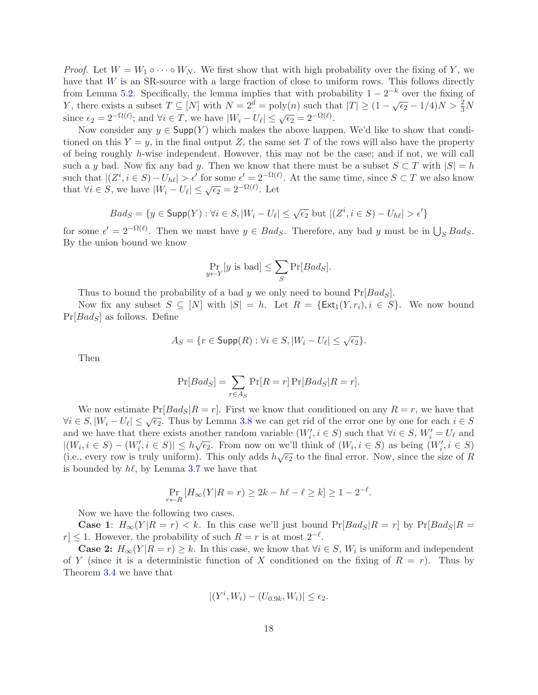*Proof.* Let  $W = W_1 \circ \cdots \circ W_N$ . We first show that with high probability over the fixing of Y, we have that  $W$  is an SR-source with a large fraction of close to uniform rows. This follows directly from Lemma [5.2.](#page-14-2) Specifically, the lemma implies that with probability  $1 - 2^{-k}$  over the fixing of Y, there exists a subset  $T \subseteq [N]$  with  $N = 2^{\overline{d}} = \text{poly}(n)$  such that  $|T| \geq (1 - \sqrt{\epsilon_2} - 1/4)N > \frac{2}{3}N$ since  $\epsilon_2 = 2^{-\Omega(\ell)}$ ; and  $\forall i \in T$ , we have  $|W_i - U_\ell| \leq \sqrt{\epsilon_2} = 2^{-\Omega(\ell)}$ .

Now consider any  $y \in \mathsf{Supp}(Y)$  which makes the above happen. We'd like to show that conditioned on this  $Y = y$ , in the final output Z, the same set T of the rows will also have the property of being roughly h-wise independent. However, this may not be the case; and if not, we will call such a y bad. Now fix any bad y. Then we know that there must be a subset  $S \subset T$  with  $|S| = h$ such that  $|(Z^i, i \in S) - U_{h\ell}| > \epsilon'$  for some  $\epsilon' = 2^{-\Omega(\ell)}$ . At the same time, since  $S \subset T$  we also know that  $\forall i \in S$ , we have  $|W_i - U_\ell| \leq \sqrt{\epsilon_2} = 2^{-\Omega(\ell)}$ . Let

$$
Bad_S = \{ y \in \mathsf{Supp}(Y) : \forall i \in S, |W_i - U_\ell| \leq \sqrt{\epsilon_2} \text{ but } |(Z^i, i \in S) - U_{h\ell}| > \epsilon' \}
$$

for some  $\epsilon' = 2^{-\Omega(\ell)}$ . Then we must have  $y \in Bad_S$ . Therefore, any bad y must be in  $\bigcup_S Bad_S$ . By the union bound we know

$$
\Pr_{y \leftarrow Y}[y \text{ is bad}] \le \sum_{S} \Pr[Bads].
$$

Thus to bound the probability of a bad y we only need to bound  $Pr[Bads]$ .

Now fix any subset  $S \subseteq [N]$  with  $|S| = h$ . Let  $R = \{\text{Ext}_1(Y, r_i), i \in S\}$ . We now bound  $Pr[Bads]$  as follows. Define

$$
A_S = \{ r \in \text{Supp}(R) : \forall i \in S, |W_i - U_\ell| \le \sqrt{\epsilon_2} \}.
$$

Then

$$
\Pr[Bad_S] = \sum_{r \in A_S} \Pr[R = r] \Pr[Bad_S | R = r].
$$

We now estimate  $Pr[Bads|R=r]$ . First we know that conditioned on any  $R=r$ , we have that  $\forall i \in S, |W_i - U_\ell| \leq \sqrt{\epsilon_2}$ . Thus by Lemma [3.8](#page-12-1) we can get rid of the error one by one for each  $i \in S$ and we have that there exists another random variable  $(W'_i, i \in S)$  such that  $\forall i \in S, W'_i = U_\ell$  and  $|(W_i, i \in S) - (W'_i, i \in S)| \leq h\sqrt{\epsilon_2}$ . From now on we'll think of  $(W_i, i \in S)$  as being  $(W'_i, i \in S)$ (i.e., every row is truly uniform). This only adds  $h\sqrt{\epsilon_2}$  to the final error. Now, since the size of R is bounded by  $h\ell$ , by Lemma [3.7](#page-12-2) we have that

$$
\Pr_{r \leftarrow R} \left[ H_{\infty}(Y|R=r) \ge 2k - h\ell - \ell \ge k \right] \ge 1 - 2^{-\ell}.
$$

Now we have the following two cases.

**Case 1:**  $H_{\infty}(Y|R = r) < k$ . In this case we'll just bound  $Pr[Bad_S|R = r]$  by  $Pr[Bad_S|R = r]$  $r \leq 1$ . However, the probability of such  $R = r$  is at most  $2^{-\ell}$ .

**Case 2:**  $H_{\infty}(Y|R=r) \geq k$ . In this case, we know that  $\forall i \in S$ ,  $W_i$  is uniform and independent of Y (since it is a deterministic function of X conditioned on the fixing of  $R = r$ ). Thus by Theorem [3.4](#page-12-0) we have that

$$
|(Y^i, W_i) - (U_{0.9k}, W_i)| \le \epsilon_2.
$$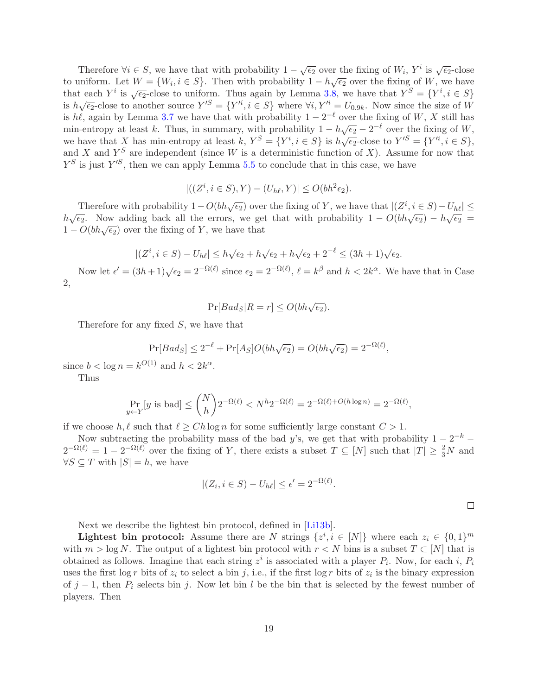Therefore  $\forall i \in S$ , we have that with probability  $1 - \sqrt{\epsilon_2}$  over the fixing of  $W_i$ ,  $Y^i$  is  $\sqrt{\epsilon_2}$ -close to uniform. Let  $W = \{W_i, i \in S\}$ . Then with probability  $1 - h\sqrt{\epsilon_2}$  over the fixing of W, we have that each  $Y^i$  is  $\sqrt{\epsilon_2}$ -close to uniform. Thus again by Lemma [3.8,](#page-12-1) we have that  $Y^S = \{Y^i, i \in S\}$ is  $h\sqrt{\epsilon_2}$ -close to another source  $Y^{\prime S} = \{Y^{\prime i}, i \in S\}$  where  $\forall i, Y^{\prime i} = U_{0.9k}$ . Now since the size of W is hℓ, again by Lemma [3.7](#page-12-2) we have that with probability  $1 - 2^{-\ell}$  over the fixing of W, X still has min-entropy at least k. Thus, in summary, with probability  $1 - h\sqrt{\epsilon_2} - 2^{-\ell}$  over the fixing of W, we have that X has min-entropy at least k,  $Y^S = \{Y^i, i \in S\}$  is  $h\sqrt{\epsilon_2}$ -close to  $Y'^S = \{Y'^i, i \in S\}$ , and X and  $Y^S$  are independent (since W is a deterministic function of X). Assume for now that  $Y^S$  is just  $Y'^S$ , then we can apply Lemma [5.5](#page-16-1) to conclude that in this case, we have

$$
|((Z^i, i \in S), Y) - (U_{h\ell}, Y)| \le O(bh^2 \epsilon_2).
$$

Therefore with probability  $1 - O(bh\sqrt{\epsilon_2})$  over the fixing of Y, we have that  $|(Z^i, i \in S) - U_{h\ell}| \le$  $h\sqrt{\epsilon_2}$ . Now adding back all the errors, we get that with probability  $1 - O(bh\sqrt{\epsilon_2}) - h\sqrt{\epsilon_2} =$  $1 - O(bh\sqrt{\epsilon_2})$  over the fixing of Y, we have that

$$
|(Z^i, i \in S) - U_{h\ell}| \le h\sqrt{\epsilon_2} + h\sqrt{\epsilon_2} + h\sqrt{\epsilon_2} + 2^{-\ell} \le (3h+1)\sqrt{\epsilon_2}.
$$

Now let  $\epsilon' = (3h+1)\sqrt{\epsilon_2} = 2^{-\Omega(\ell)}$  since  $\epsilon_2 = 2^{-\Omega(\ell)}$ ,  $\ell = k^{\beta}$  and  $h < 2k^{\alpha}$ . We have that in Case 2,

$$
\Pr[Bad_S | R = r] \le O(bh\sqrt{\epsilon_2}).
$$

Therefore for any fixed S, we have that

$$
Pr[Bads] \le 2^{-\ell} + Pr[A_S]O(bh\sqrt{\epsilon_2}) = O(bh\sqrt{\epsilon_2}) = 2^{-\Omega(\ell)},
$$

since  $b < \log n = k^{O(1)}$  and  $h < 2k^{\alpha}$ .

Thus

$$
\Pr_{y \leftarrow Y}[y \text{ is bad}] \le {N \choose h} 2^{-\Omega(\ell)} < N^h 2^{-\Omega(\ell)} = 2^{-\Omega(\ell) + O(h \log n)} = 2^{-\Omega(\ell)},
$$

if we choose h,  $\ell$  such that  $\ell \geq Ch \log n$  for some sufficiently large constant  $C > 1$ .

Now subtracting the probability mass of the bad y's, we get that with probability  $1 - 2^{-k}$  $2^{-\Omega(\ell)} = 1 - 2^{-\Omega(\ell)}$  over the fixing of Y, there exists a subset  $T \subseteq [N]$  such that  $|T| \geq \frac{2}{3}N$  and  $\forall S \subseteq T$  with  $|S| = h$ , we have

$$
|(Z_i, i \in S) - U_{h\ell}| \le \epsilon' = 2^{-\Omega(\ell)}.
$$

Next we describe the lightest bin protocol, defined in [\[Li13b\]](#page--1-6).

**Lightest bin protocol:** Assume there are N strings  $\{z^i, i \in [N]\}$  where each  $z_i \in \{0, 1\}^m$ with  $m > \log N$ . The output of a lightest bin protocol with  $r < N$  bins is a subset  $T \subset [N]$  that is obtained as follows. Imagine that each string  $z^i$  is associated with a player  $P_i$ . Now, for each i,  $P_i$ uses the first  $\log r$  bits of  $z_i$  to select a bin j, i.e., if the first  $\log r$  bits of  $z_i$  is the binary expression of  $j-1$ , then  $P_i$  selects bin j. Now let bin l be the bin that is selected by the fewest number of players. Then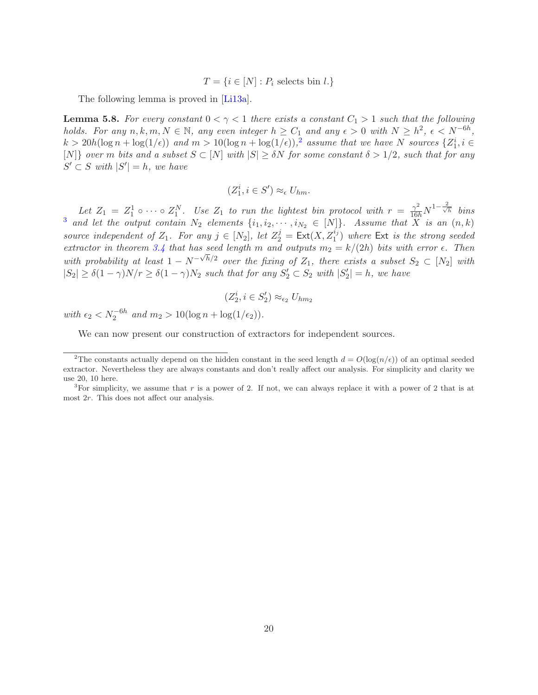$T = \{i \in [N] : P_i \text{ selects bin } l.\}$ 

The following lemma is proved in [\[Li13a\]](#page-29-9).

<span id="page-20-2"></span>**Lemma 5.8.** For every constant  $0 < \gamma < 1$  there exists a constant  $C_1 > 1$  such that the following holds. For any  $n, k, m, N \in \mathbb{N}$ , any even integer  $h \geq C_1$  and any  $\epsilon > 0$  with  $N \geq h^2$ ,  $\epsilon < N^{-6h}$ ,  $k > 20h(\log n + \log(1/\epsilon))$  $k > 20h(\log n + \log(1/\epsilon))$  $k > 20h(\log n + \log(1/\epsilon))$  and  $m > 10(\log n + \log(1/\epsilon))$ ,<sup>2</sup> assume that we have N sources  $\{Z_1^i, i \in \mathbb{N}\}$ [N]} over m bits and a subset  $S \subset [N]$  with  $|S| \geq \delta N$  for some constant  $\delta > 1/2$ , such that for any  $S' \subset S$  with  $|S'| = h$ , we have

$$
(Z_1^i, i \in S') \approx_{\epsilon} U_{hm}.
$$

Let  $Z_1 = Z_1^1 \circ \cdots \circ Z_1^N$ . Use  $Z_1$  to run the lightest bin protocol with  $r = \frac{\gamma^2}{16h} N^{1-\frac{2}{\sqrt{h}}}$  bins <sup>[3](#page-20-1)</sup> and let the output contain  $N_2$  elements  $\{i_1, i_2, \cdots, i_{N_2} \in [N]\}$ . Assume that  $\overline{X}$  is an  $(n, k)$ source independent of  $Z_1$ . For any  $j \in [N_2]$ , let  $Z_2^j = \text{Ext}(X, Z_1^{i_j})$  where  $\text{Ext }$  is the strong seeded extractor in theorem [3.4](#page-12-0) that has seed length m and outputs  $m_2 = k/(2h)$  bits with error  $\epsilon$ . Then with probability at least  $1 - N^{-\sqrt{h}/2}$  over the fixing of  $Z_1$ , there exists a subset  $S_2 \subset [N_2]$  with  $|S_2| \ge \delta(1-\gamma)N/r \ge \delta(1-\gamma)N_2$  such that for any  $S_2' \subset S_2$  with  $|S_2'| = h$ , we have

$$
(Z_2^i, i \in S_2') \approx_{\epsilon_2} U_{hm_2}
$$

with  $\epsilon_2 < N_2^{-6h}$  and  $m_2 > 10(\log n + \log(1/\epsilon_2)).$ 

We can now present our construction of extractors for independent sources.

<span id="page-20-0"></span><sup>&</sup>lt;sup>2</sup>The constants actually depend on the hidden constant in the seed length  $d = O(\log(n/\epsilon))$  of an optimal seeded extractor. Nevertheless they are always constants and don't really affect our analysis. For simplicity and clarity we use 20, 10 here.

<span id="page-20-1"></span><sup>&</sup>lt;sup>3</sup>For simplicity, we assume that r is a power of 2. If not, we can always replace it with a power of 2 that is at most 2r. This does not affect our analysis.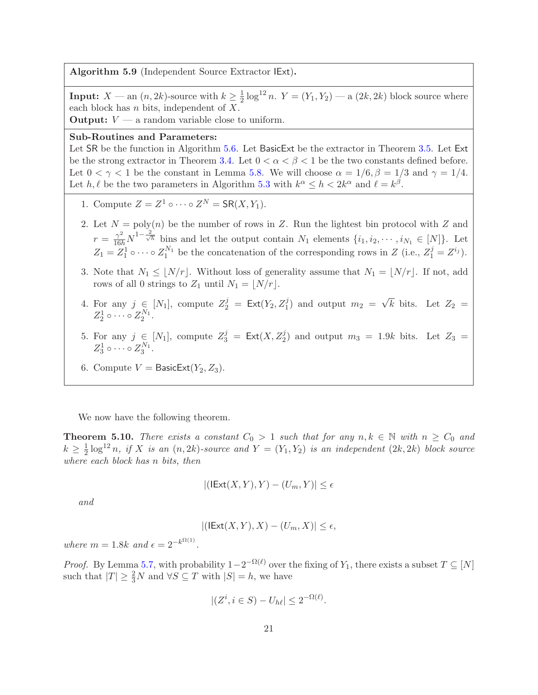<span id="page-21-0"></span>Algorithm 5.9 (Independent Source Extractor IExt).

**Input:**  $X \longrightarrow \text{an}(n, 2k)$ -source with  $k \geq \frac{1}{2}$  $\frac{1}{2} \log^{12} n$ .  $Y = (Y_1, Y_2)$  — a  $(2k, 2k)$  block source where each block has  $n$  bits, independent of  $X$ .

**Output:**  $V - a$  random variable close to uniform.

#### Sub-Routines and Parameters:

Let SR be the function in Algorithm [5.6.](#page-17-0) Let BasicExt be the extractor in Theorem [3.5.](#page-12-3) Let Ext be the strong extractor in Theorem [3.4.](#page-12-0) Let  $0 < \alpha < \beta < 1$  be the two constants defined before. Let  $0 < \gamma < 1$  be the constant in Lemma [5.8.](#page-20-2) We will choose  $\alpha = 1/6$ ,  $\beta = 1/3$  and  $\gamma = 1/4$ . Let  $h, \ell$  be the two parameters in Algorithm [5.3](#page-15-0) with  $k^{\alpha} \leq h < 2k^{\alpha}$  and  $\ell = k^{\beta}$ .

- 1. Compute  $Z = Z^1 \circ \cdots \circ Z^N = \mathsf{SR}(X, Y_1)$ .
- 2. Let  $N = \text{poly}(n)$  be the number of rows in Z. Run the lightest bin protocol with Z and  $r = \frac{\gamma^2}{16h} N^{1-\frac{2}{\sqrt{h}}}$  bins and let the output contain  $N_1$  elements  $\{i_1, i_2, \cdots, i_{N_1} \in [N]\}$ . Let  $Z_1 = Z_1^1 \circ \cdots \circ Z_1^{N_1}$  be the concatenation of the corresponding rows in Z (i.e.,  $Z_1^j = Z^{i_j}$ ).
- 3. Note that  $N_1 \leq |N/r|$ . Without loss of generality assume that  $N_1 = |N/r|$ . If not, add rows of all 0 strings to  $Z_1$  until  $N_1 = |N/r|$ .
- 4. For any  $j \in [N_1]$ , compute  $Z_2^j = \text{Ext}(Y_2, Z_1^j)$  and output  $m_2 = \sqrt{k}$  bits. Let  $Z_2 =$  $Z_2^1 \circ \cdots \circ Z_2^{N_1}.$
- 5. For any  $j \in [N_1]$ , compute  $Z_3^j = \text{Ext}(X, Z_2^j)$  and output  $m_3 = 1.9k$  bits. Let  $Z_3 =$  $Z_3^1 \circ \cdots \circ Z_3^{N_1}.$
- 6. Compute  $V =$  BasicExt $(Y_2, Z_3)$ .

We now have the following theorem.

<span id="page-21-1"></span>**Theorem 5.10.** There exists a constant  $C_0 > 1$  such that for any  $n, k \in \mathbb{N}$  with  $n \ge C_0$  and  $k\geq \frac{1}{2}$  $\frac{1}{2} \log^{12} n$ , if X is an  $(n, 2k)$ -source and  $Y = (Y_1, Y_2)$  is an independent  $(2k, 2k)$  block source where each block has n bits, then

$$
|(\text{IExt}(X,Y),Y)-(U_m,Y)|\leq\epsilon
$$

and

$$
|(\text{IExt}(X,Y),X)-(U_m,X)|\leq \epsilon,
$$

where  $m = 1.8k$  and  $\epsilon = 2^{-k^{\Omega(1)}}$ .

*Proof.* By Lemma [5.7,](#page-17-1) with probability  $1-2^{-\Omega(\ell)}$  over the fixing of  $Y_1$ , there exists a subset  $T \subseteq [N]$ such that  $|T| \geq \frac{2}{3}N$  and  $\forall S \subseteq T$  with  $|S| = h$ , we have

$$
|(Z^i, i \in S) - U_{h\ell}| \le 2^{-\Omega(\ell)}.
$$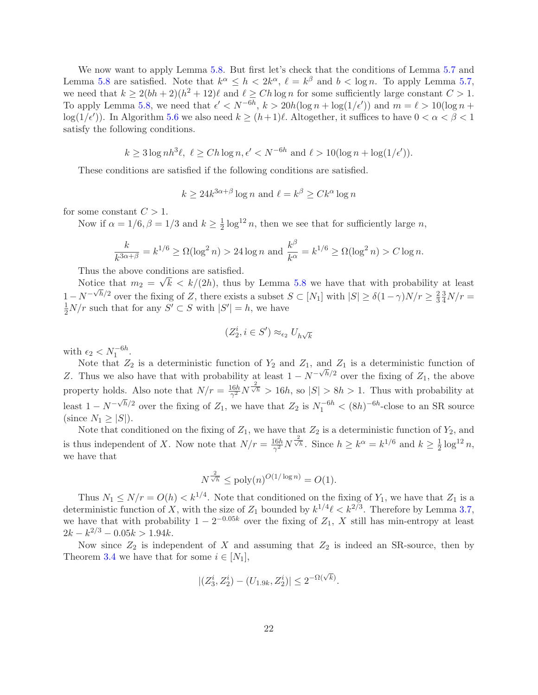We now want to apply Lemma [5.8.](#page-20-2) But first let's check that the conditions of Lemma [5.7](#page-17-1) and Lemma [5.8](#page-20-2) are satisfied. Note that  $k^{\alpha} \leq h < 2k^{\alpha}$ ,  $\ell = k^{\beta}$  and  $b < \log n$ . To apply Lemma [5.7,](#page-17-1) we need that  $k \geq 2(bh+2)(h^2+12)\ell$  and  $\ell \geq Ch \log n$  for some sufficiently large constant  $C > 1$ . To apply Lemma [5.8,](#page-20-2) we need that  $\epsilon' < N^{-6h}$ ,  $k > 20h(\log n + \log(1/\epsilon'))$  and  $m = \ell > 10(\log n + \epsilon')$ log(1/ $\epsilon'$ )). In Algorithm [5.6](#page-17-0) we also need  $k \ge (h+1)\ell$ . Altogether, it suffices to have  $0 < \alpha < \beta < 1$ satisfy the following conditions.

$$
k \ge 3 \log nh^3 \ell, \ \ell \ge Ch \log n, \epsilon' < N^{-6h} \text{ and } \ell > 10(\log n + \log(1/\epsilon')).
$$

These conditions are satisfied if the following conditions are satisfied.

$$
k \ge 24k^{3\alpha+\beta} \log n \text{ and } \ell = k^{\beta} \ge Ck^{\alpha} \log n
$$

for some constant  $C > 1$ .

Now if  $\alpha = 1/6$ ,  $\beta = 1/3$  and  $k \geq \frac{1}{2}$  $\frac{1}{2} \log^{12} n$ , then we see that for sufficiently large n,

$$
\frac{k}{k^{3\alpha+\beta}} = k^{1/6} \ge \Omega(\log^2 n) > 24 \log n \text{ and } \frac{k^{\beta}}{k^{\alpha}} = k^{1/6} \ge \Omega(\log^2 n) > C \log n.
$$

Thus the above conditions are satisfied.

Notice that  $m_2 = \sqrt{k} \langle k/(2h)$ , thus by Lemma [5.8](#page-20-2) we have that with probability at least  $1 - N^{-\sqrt{h}/2}$  over the fixing of Z, there exists a subset  $S \subset [N_1]$  with  $|S| \ge \delta(1-\gamma)N/r \ge \frac{2}{3}$ 3  $\frac{3}{4}N/r =$  $\frac{1}{2}N/r$  such that for any  $S' \subset S$  with  $|S'| = h$ , we have

$$
(Z_2^i, i \in S') \approx_{\epsilon_2} U_{h\sqrt{k}}
$$

with  $\epsilon_2 < N_1^{-6h}$ .

Note that  $Z_2$  is a deterministic function of  $Y_2$  and  $Z_1$ , and  $Z_1$  is a deterministic function of Z. Thus we also have that with probability at least  $1 - N^{-\sqrt{h}/2}$  over the fixing of  $Z_1$ , the above property holds. Also note that  $N/r = \frac{16h}{\gamma^2}$  $\frac{16h}{\gamma^2} N^{\frac{2}{\sqrt{h}}} > 16h$ , so  $|S| > 8h > 1$ . Thus with probability at least  $1 - N^{-\sqrt{h}/2}$  over the fixing of  $Z_1$ , we have that  $Z_2$  is  $N_1^{-6h} < (8h)^{-6h}$ -close to an SR source (since  $N_1 \geq |S|$ ).

Note that conditioned on the fixing of  $Z_1$ , we have that  $Z_2$  is a deterministic function of  $Y_2$ , and is thus independent of X. Now note that  $N/r = \frac{16h}{\gamma^2}$  $\frac{16h}{\gamma^2} N^{\frac{2}{\sqrt{h}}}$ . Since  $h \geq k^{\alpha} = k^{1/6}$  and  $k \geq \frac{1}{2}$  $\frac{1}{2} \log^{12} n,$ we have that

$$
N^{\frac{2}{\sqrt{h}}} \le \text{poly}(n)^{O(1/\log n)} = O(1).
$$

Thus  $N_1 \leq N/r = O(h) < k^{1/4}$ . Note that conditioned on the fixing of  $Y_1$ , we have that  $Z_1$  is a deterministic function of X, with the size of  $Z_1$  bounded by  $k^{1/4}\ell < k^{2/3}$ . Therefore by Lemma [3.7,](#page-12-2) we have that with probability  $1 - 2^{-0.05k}$  over the fixing of  $Z_1$ , X still has min-entropy at least  $2k - k^{2/3} - 0.05k > 1.94k.$ 

Now since  $Z_2$  is independent of X and assuming that  $Z_2$  is indeed an SR-source, then by Theorem [3.4](#page-12-0) we have that for some  $i \in [N_1]$ ,

$$
|(Z_3^i, Z_2^i) - (U_{1.9k}, Z_2^i)| \le 2^{-\Omega(\sqrt{k})}.
$$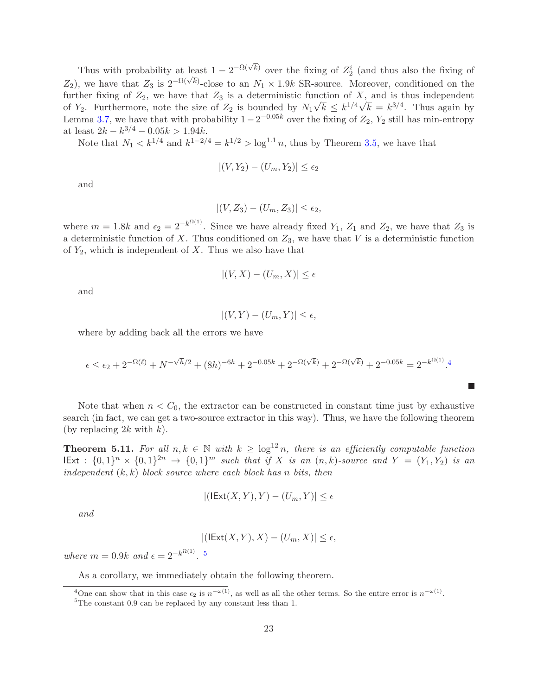Thus with probability at least  $1 - 2^{-\Omega(\sqrt{k})}$  over the fixing of  $Z_2^i$  (and thus also the fixing of  $Z_2$ ), we have that  $Z_3$  is  $2^{-\Omega(\sqrt{k})}$ -close to an  $N_1 \times 1.9k$  SR-source. Moreover, conditioned on the further fixing of  $Z_2$ , we have that  $Z_3$  is a deterministic function of X, and is thus independent of  $Y_2$ . Furthermore, note the size of  $Z_2$  is bounded by  $N_1\sqrt{k} \le k^{1/4}\sqrt{k} = k^{3/4}$ . Thus again by Lemma [3.7,](#page-12-2) we have that with probability  $1-2^{-0.05k}$  over the fixing of  $Z_2$ ,  $Y_2$  still has min-entropy at least  $2k - k^{3/4} - 0.05k > 1.94k$ .

Note that  $N_1 < k^{1/4}$  and  $k^{1-2/4} = k^{1/2} > \log^{1.1} n$ , thus by Theorem [3.5,](#page-12-3) we have that

$$
|(V, Y_2) - (U_m, Y_2)| \le \epsilon_2
$$

and

$$
|(V, Z_3) - (U_m, Z_3)| \le \epsilon_2,
$$

where  $m = 1.8k$  and  $\epsilon_2 = 2^{-k^{\Omega(1)}}$ . Since we have already fixed  $Y_1$ ,  $Z_1$  and  $Z_2$ , we have that  $Z_3$  is a deterministic function of X. Thus conditioned on  $Z_3$ , we have that V is a deterministic function of  $Y_2$ , which is independent of X. Thus we also have that

$$
|(V, X) - (U_m, X)| \le \epsilon
$$

and

 $|(V, Y) - (U_m, Y)| \leq \epsilon$ ,

where by adding back all the errors we have

$$
\epsilon \le \epsilon_2 + 2^{-\Omega(\ell)} + N^{-\sqrt{h}/2} + (8h)^{-6h} + 2^{-0.05k} + 2^{-\Omega(\sqrt{k})} + 2^{-\Omega(\sqrt{k})} + 2^{-0.05k} = 2^{-k^{\Omega(1)}}.4
$$

m.

Note that when  $n < C_0$ , the extractor can be constructed in constant time just by exhaustive search (in fact, we can get a two-source extractor in this way). Thus, we have the following theorem (by replacing  $2k$  with  $k$ ).

**Theorem 5.11.** For all  $n, k \in \mathbb{N}$  with  $k \geq \log^{12} n$ , there is an efficiently computable function  $\text{IExt} : \{0,1\}^n \times \{0,1\}^{2n} \to \{0,1\}^m$  such that if X is an  $(n, k)$ -source and  $Y = (Y_1, Y_2)$  is an independent  $(k, k)$  block source where each block has n bits, then

$$
|(\mathsf{IExt}(X,Y),Y)-(U_m,Y)|\leq\epsilon
$$

and

$$
|(\text{IExt}(X,Y),X)-(U_m,X)|\leq\epsilon,
$$

where  $m = 0.9k$  and  $\epsilon = 2^{-k^{\Omega(1)}}$ . <sup>[5](#page-23-1)</sup>

As a corollary, we immediately obtain the following theorem.

<sup>&</sup>lt;sup>4</sup>One can show that in this case  $\epsilon_2$  is  $n^{-\omega(1)}$ , as well as all the other terms. So the entire error is  $n^{-\omega(1)}$ .

<span id="page-23-1"></span><span id="page-23-0"></span><sup>&</sup>lt;sup>5</sup>The constant 0.9 can be replaced by any constant less than 1.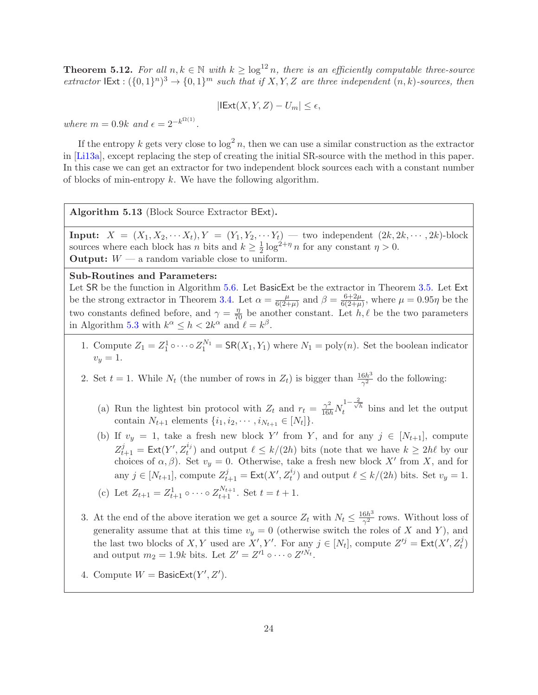**Theorem 5.12.** For all  $n, k \in \mathbb{N}$  with  $k \geq \log^{12} n$ , there is an efficiently computable three-source extractor  $\text{IExt}: (\{0,1\}^n)^3 \to \{0,1\}^m$  such that if X, Y, Z are three independent  $(n, k)$ -sources, then

$$
|\mathsf{IExt}(X,Y,Z)-U_m|\leq\epsilon,
$$

where  $m = 0.9k$  and  $\epsilon = 2^{-k^{\Omega(1)}}$ .

If the entropy k gets very close to  $\log^2 n$ , then we can use a similar construction as the extractor in [\[Li13a\]](#page-29-9), except replacing the step of creating the initial SR-source with the method in this paper. In this case we can get an extractor for two independent block sources each with a constant number of blocks of min-entropy  $k$ . We have the following algorithm.

<span id="page-24-0"></span>Algorithm 5.13 (Block Source Extractor BExt).

Input:  $X = (X_1, X_2, \cdots X_t), Y = (Y_1, Y_2, \cdots Y_t)$  — two independent  $(2k, 2k, \cdots, 2k)$ -block sources where each block has *n* bits and  $k \geq \frac{1}{2}$  $\frac{1}{2} \log^{2+\eta} n$  for any constant  $\eta > 0$ . **Output:**  $W - a$  random variable close to uniform.

Sub-Routines and Parameters:

Let SR be the function in Algorithm [5.6.](#page-17-0) Let BasicExt be the extractor in Theorem [3.5.](#page-12-3) Let Ext be the strong extractor in Theorem [3.4.](#page-12-0) Let  $\alpha = \frac{\mu}{6Q_1}$  $\frac{\mu}{6(2+\mu)}$  and  $\beta = \frac{6+2\mu}{6(2+\mu)}$  $\frac{6+2\mu}{6(2+\mu)}$ , where  $\mu = 0.95\eta$  be the two constants defined before, and  $\gamma = \frac{\eta}{70}$  be another constant. Let h,  $\ell$  be the two parameters in Algorithm [5.3](#page-15-0) with  $k^{\alpha} \leq h < 2k^{\alpha}$  and  $\ell = k^{\beta}$ .

- 1. Compute  $Z_1 = Z_1^1 \circ \cdots \circ Z_1^{N_1} = \mathsf{SR}(X_1, Y_1)$  where  $N_1 = \text{poly}(n)$ . Set the boolean indicator  $v_y = 1.$
- 2. Set  $t = 1$ . While  $N_t$  (the number of rows in  $Z_t$ ) is bigger than  $\frac{16h^3}{\gamma^2}$  $\frac{6h^o}{\gamma^2}$  do the following:
	- (a) Run the lightest bin protocol with  $Z_t$  and  $r_t = \frac{\gamma^2}{16h}N$  $\frac{1-\frac{2}{\sqrt{h}}}{t}$  bins and let the output contain  $N_{t+1}$  elements  $\{i_1, i_2, \cdots, i_{N_{t+1}} \in [N_t]\}.$
	- (b) If  $v_y = 1$ , take a fresh new block Y' from Y, and for any  $j \in [N_{t+1}]$ , compute  $Z_{t+1}^j = \text{Ext}(Y', Z_t^{i_j})$  and output  $\ell \leq k/(2h)$  bits (note that we have  $k \geq 2h\ell$  by our choices of  $\alpha, \beta$ ). Set  $v_y = 0$ . Otherwise, take a fresh new block X' from X, and for any  $j \in [N_{t+1}]$ , compute  $Z_{t+1}^j = \text{Ext}(X', Z_t^{i_j})$  and output  $\ell \leq k/(2h)$  bits. Set  $v_y = 1$ . (c) Let  $Z_{t+1} = Z_{t+1}^1 \circ \cdots \circ Z_{t+1}^{N_{t+1}}$ . Set  $t = t + 1$ .
- 3. At the end of the above iteration we get a source  $Z_t$  with  $N_t \leq \frac{16h^3}{\gamma^2}$  $\frac{6h^{\circ}}{\gamma^2}$  rows. Without loss of generality assume that at this time  $v_y = 0$  (otherwise switch the roles of X and Y), and the last two blocks of X, Y used are X', Y'. For any  $j \in [N_t]$ , compute  $Z^{ij} = \text{Ext}(X', Z_t^j)$ and output  $m_2 = 1.9k$  bits. Let  $Z' = Z'^1 \circ \cdots \circ Z'^{N_t}$ .
- 4. Compute  $W = \text{BasicExt}(Y', Z').$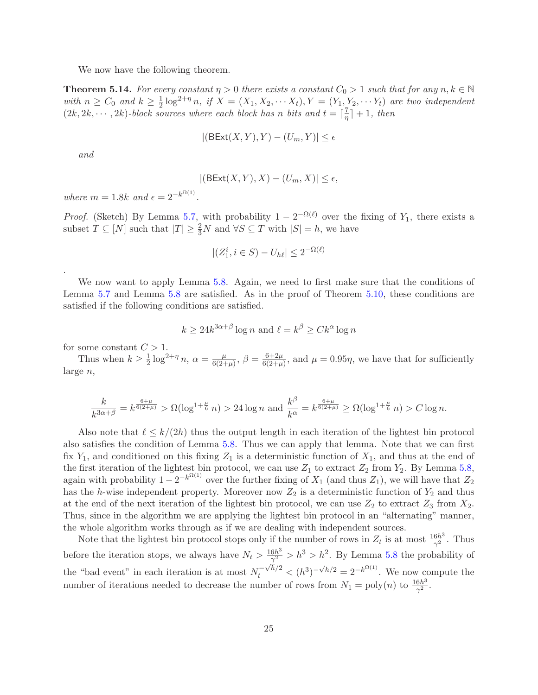We now have the following theorem.

**Theorem 5.14.** For every constant  $\eta > 0$  there exists a constant  $C_0 > 1$  such that for any  $n, k \in \mathbb{N}$ with  $n \geq C_0$  and  $k \geq \frac{1}{2}$  $\frac{1}{2}\log^{2+\eta} n$ , if  $X = (X_1, X_2, \cdots X_t), Y = (Y_1, Y_2, \cdots Y_t)$  are two independent  $(2k, 2k, \dots, 2k)$ -block sources where each block has n bits and  $t = \lceil \frac{7}{\eta} \rceil$  $\frac{7}{\eta}$  | + 1, then

$$
|(\mathsf{BExt}(X,Y),Y)-(U_m,Y)|\leq\epsilon
$$

and

.

$$
|(\mathsf{BExt}(X,Y),X)-(U_m,X)|\leq\epsilon,
$$

where  $m = 1.8k$  and  $\epsilon = 2^{-k^{\Omega(1)}}$ .

*Proof.* (Sketch) By Lemma [5.7,](#page-17-1) with probability  $1 - 2^{-\Omega(\ell)}$  over the fixing of Y<sub>1</sub>, there exists a subset  $T \subseteq [N]$  such that  $|T| \geq \frac{2}{3}N$  and  $\forall S \subseteq T$  with  $|S| = h$ , we have

$$
|(Z_1^i, i \in S) - U_{h\ell}| \le 2^{-\Omega(\ell)}
$$

We now want to apply Lemma [5.8.](#page-20-2) Again, we need to first make sure that the conditions of Lemma [5.7](#page-17-1) and Lemma [5.8](#page-20-2) are satisfied. As in the proof of Theorem [5.10,](#page-21-1) these conditions are satisfied if the following conditions are satisfied.

$$
k \ge 24k^{3\alpha+\beta} \log n \text{ and } \ell = k^{\beta} \ge Ck^{\alpha} \log n
$$

for some constant  $C > 1$ .

Thus when  $k \geq \frac{1}{2}$  $\frac{1}{2} \log^{2+\eta} n, \, \alpha = \frac{\mu}{6(2+\pi)}$  $\frac{\mu}{6(2+\mu)}, \ \beta = \frac{6+2\mu}{6(2+\mu)}$  $\frac{6+2\mu}{6(2+\mu)}$ , and  $\mu = 0.95\eta$ , we have that for sufficiently large n,

$$
\frac{k}{k^{3\alpha+\beta}} = k^{\frac{6+\mu}{6(2+\mu)}} > \Omega(\log^{1+\frac{\mu}{6}} n) > 24 \log n \text{ and } \frac{k^{\beta}}{k^{\alpha}} = k^{\frac{6+\mu}{6(2+\mu)}} \ge \Omega(\log^{1+\frac{\mu}{6}} n) > C \log n.
$$

Also note that  $\ell \leq k/(2h)$  thus the output length in each iteration of the lightest bin protocol also satisfies the condition of Lemma [5.8.](#page-20-2) Thus we can apply that lemma. Note that we can first fix  $Y_1$ , and conditioned on this fixing  $Z_1$  is a deterministic function of  $X_1$ , and thus at the end of the first iteration of the lightest bin protocol, we can use  $Z_1$  to extract  $Z_2$  from  $Y_2$ . By Lemma [5.8,](#page-20-2) again with probability  $1 - 2^{-k^{\Omega(1)}}$  over the further fixing of  $X_1$  (and thus  $Z_1$ ), we will have that  $Z_2$ has the h-wise independent property. Moreover now  $Z_2$  is a deterministic function of  $Y_2$  and thus at the end of the next iteration of the lightest bin protocol, we can use  $Z_2$  to extract  $Z_3$  from  $X_2$ . Thus, since in the algorithm we are applying the lightest bin protocol in an "alternating" manner, the whole algorithm works through as if we are dealing with independent sources.

Note that the lightest bin protocol stops only if the number of rows in  $Z_t$  is at most  $\frac{16h^3}{\gamma^2}$  $rac{6h^3}{\gamma^2}$ . Thus before the iteration stops, we always have  $N_t > \frac{16h^3}{\gamma^2}$  $\frac{6h^3}{\gamma^2} > h^3 > h^2$ . By Lemma [5.8](#page-20-2) the probability of the "bad event" in each iteration is at most  $N_t^{-\sqrt{h}/2} < (h^3)^{-\sqrt{h}/2} = 2^{-k^{\Omega(1)}}$ . We now compute the number of iterations needed to decrease the number of rows from  $N_1 = \text{poly}(n)$  to  $\frac{16h^3}{\gamma^2}$  $\frac{6h^{\circ}}{\gamma^2}$ .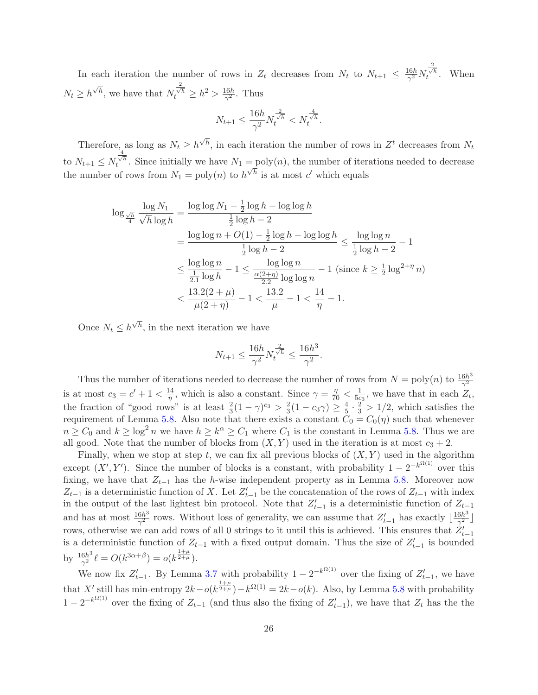In each iteration the number of rows in  $Z_t$  decreases from  $N_t$  to  $N_{t+1} \leq \frac{16h}{\gamma^2}$  $\frac{16h}{\gamma^2}N$  $\frac{2}{\sqrt{h}}$ . When  $N_t \geq h^{\sqrt{h}}$ , we have that N  $\frac{2}{\sqrt{h}} \geq h^2 > \frac{16h}{\gamma^2}$  $rac{16h}{\gamma^2}$ . Thus

$$
N_{t+1} \le \frac{16h}{\gamma^2} N_t^{\frac{2}{\sqrt{h}}} < N_t^{\frac{4}{\sqrt{h}}}.
$$

Therefore, as long as  $N_t \ge h^{\sqrt{h}}$ , in each iteration the number of rows in  $Z^t$  decreases from  $N_t$ to  $N_{t+1} \leq N$  $t^{\frac{4}{\sqrt{h}}}$ . Since initially we have  $N_1 = \text{poly}(n)$ , the number of iterations needed to decrease the number of rows from  $N_1 = \text{poly}(n)$  to  $h^{\sqrt{h}}$  is at most c' which equals

$$
\log_{\frac{\sqrt{h}}{4}} \frac{\log N_1}{\sqrt{h} \log h} = \frac{\log \log N_1 - \frac{1}{2} \log h - \log \log h}{\frac{1}{2} \log h - 2}
$$
  
= 
$$
\frac{\log \log n + O(1) - \frac{1}{2} \log h - \log \log h}{\frac{1}{2} \log h - 2} \le \frac{\log \log n}{\frac{1}{2} \log h - 2} - 1
$$
  

$$
\le \frac{\log \log n}{\frac{1}{2.1} \log h} - 1 \le \frac{\log \log n}{\frac{\alpha(2+\eta)}{2.2} \log \log n} - 1 \text{ (since } k \ge \frac{1}{2} \log^{2+\eta} n)
$$
  

$$
< \frac{13.2(2+\mu)}{\mu(2+\eta)} - 1 < \frac{13.2}{\mu} - 1 < \frac{14}{\eta} - 1.
$$

Once  $N_t \leq h^{\sqrt{h}}$ , in the next iteration we have

$$
N_{t+1} \le \frac{16h}{\gamma^2} N_t^{\frac{2}{\sqrt{h}}} \le \frac{16h^3}{\gamma^2}.
$$

Thus the number of iterations needed to decrease the number of rows from  $N = \text{poly}(n)$  to  $\frac{16h^3}{\gamma^2}$  $\gamma^2$ is at most  $c_3 = c' + 1 < \frac{14}{n}$  $\frac{14}{\eta}$ , which is also a constant. Since  $\gamma = \frac{\eta}{70} < \frac{1}{5c}$  $\frac{1}{5c_3}$ , we have that in each  $Z_t$ , the fraction of "good rows" is at least  $\frac{2}{3}(1-\gamma)^{c_3} > \frac{2}{3}$  $\frac{2}{3}(1-c_3\gamma)\geq \frac{4}{5}$  $\frac{4}{5} \cdot \frac{2}{3} > 1/2$ , which satisfies the requirement of Lemma [5.8.](#page-20-2) Also note that there exists a constant  $C_0 = C_0(\eta)$  such that whenever  $n \geq C_0$  and  $k \geq \log^2 n$  we have  $h \geq k^{\alpha} \geq C_1$  where  $C_1$  is the constant in Lemma [5.8.](#page-20-2) Thus we are all good. Note that the number of blocks from  $(X, Y)$  used in the iteration is at most  $c_3 + 2$ .

Finally, when we stop at step t, we can fix all previous blocks of  $(X, Y)$  used in the algorithm except  $(X', Y')$ . Since the number of blocks is a constant, with probability  $1 - 2^{-k^{\Omega(1)}}$  over this fixing, we have that  $Z_{t-1}$  has the h-wise independent property as in Lemma [5.8.](#page-20-2) Moreover now  $Z_{t-1}$  is a deterministic function of X. Let  $Z'_{t-1}$  be the concatenation of the rows of  $Z_{t-1}$  with index in the output of the last lightest bin protocol. Note that  $Z'_{t-1}$  is a deterministic function of  $Z_{t-1}$ and has at most  $\frac{16h^3}{\gamma^2}$  $\frac{6h^3}{\gamma^2}$  rows. Without loss of generality, we can assume that  $Z'_{t-1}$  has exactly  $\lfloor \frac{16h^3}{\gamma^2} \rfloor$  $\frac{\sin \theta}{\gamma^2}$ rows, otherwise we can add rows of all 0 strings to it until this is achieved. This ensures that  $Z'_{t-1}$ is a deterministic function of  $Z_{t-1}$  with a fixed output domain. Thus the size of  $Z'_{t-1}$  is bounded by  $\frac{16h^3}{\gamma^2}$  $\frac{6h^3}{\gamma^2} \ell = O(k^{3\alpha+\beta}) = o(k^{\frac{1+\mu}{2+\mu}}).$ 

We now fix  $Z'_{t-1}$ . By Lemma [3.7](#page-12-2) with probability  $1 - 2^{-k^{\Omega(1)}}$  over the fixing of  $Z'_{t-1}$ , we have that X' still has min-entropy  $2k - o(k^{\frac{1+\mu}{2+\mu}}) - k^{\Omega(1)} = 2k - o(k)$ . Also, by Lemma [5.8](#page-20-2) with probability  $1 - 2^{-k^{\Omega(1)}}$  over the fixing of  $Z_{t-1}$  (and thus also the fixing of  $Z'_{t-1}$ ), we have that  $Z_t$  has the the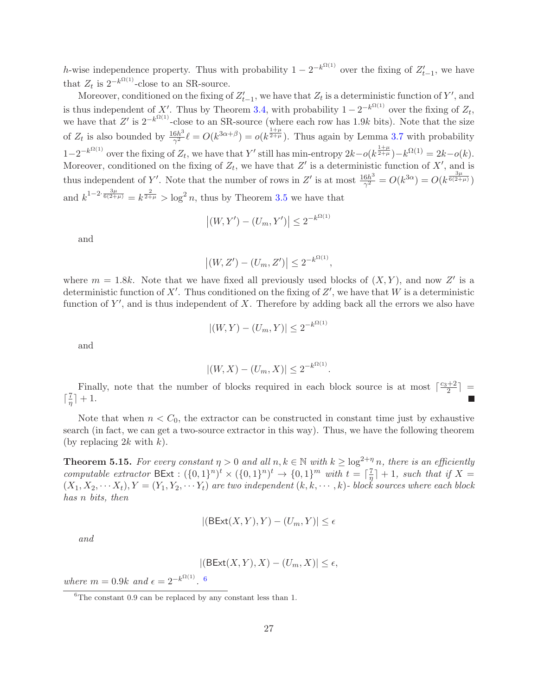h-wise independence property. Thus with probability  $1 - 2^{-k^{\Omega(1)}}$  over the fixing of  $Z'_{t-1}$ , we have that  $Z_t$  is  $2^{-k^{\Omega(1)}}$ -close to an SR-source.

Moreover, conditioned on the fixing of  $Z'_{t-1}$ , we have that  $Z_t$  is a deterministic function of Y', and is thus independent of X'. Thus by Theorem [3.4,](#page-12-0) with probability  $1 - 2^{-k^{\Omega(1)}}$  over the fixing of  $Z_t$ , we have that Z' is  $2^{-k^{\Omega(1)}}$ -close to an SR-source (where each row has 1.9k bits). Note that the size of  $Z_t$  is also bounded by  $\frac{16h^3}{\gamma^2}$  $\frac{6h^3}{\gamma^2}$ l =  $O(k^{3\alpha+\beta}) = o(k^{\frac{1+\mu}{2+\mu}})$ . Thus again by Lemma [3.7](#page-12-2) with probability  $1-2^{-k^{\Omega(1)}}$  over the fixing of  $Z_t$ , we have that Y' still has min-entropy  $2k-o(k^{\frac{1+\mu}{2+\mu}})-k^{\Omega(1)}=2k-o(k)$ . Moreover, conditioned on the fixing of  $Z_t$ , we have that  $Z'$  is a deterministic function of  $X'$ , and is thus independent of Y'. Note that the number of rows in Z' is at most  $\frac{16h^3}{\gamma^2}$  $\frac{6h^3}{\gamma^2} = O(k^{3\alpha}) = O(k^{\frac{3\mu}{6(2+\mu)}})$ and  $k^{1-2} \cdot \frac{3\mu}{6(2+\mu)} = k^{\frac{2}{2+\mu}} > \log^2 n$ , thus by Theorem [3.5](#page-12-3) we have that

$$
|(W, Y') - (U_m, Y')| \le 2^{-k^{\Omega(1)}}
$$

and

$$
|(W, Z') - (U_m, Z')| \leq 2^{-k^{\Omega(1)}},
$$

where  $m = 1.8k$ . Note that we have fixed all previously used blocks of  $(X, Y)$ , and now Z' is a deterministic function of X'. Thus conditioned on the fixing of  $Z'$ , we have that W is a deterministic function of  $Y'$ , and is thus independent of X. Therefore by adding back all the errors we also have

$$
|(W, Y) - (U_m, Y)| \le 2^{-k^{\Omega(1)}}
$$

and

$$
|(W, X) - (U_m, X)| \le 2^{-k^{\Omega(1)}}.
$$

Finally, note that the number of blocks required in each block source is at most  $\lceil \frac{c_3+2}{2} \rceil$  =  $\lceil \frac{7}{\eta} \rceil$  $\frac{7}{\eta}$  | + 1.

Note that when  $n < C_0$ , the extractor can be constructed in constant time just by exhaustive search (in fact, we can get a two-source extractor in this way). Thus, we have the following theorem (by replacing  $2k$  with k).

**Theorem 5.15.** For every constant  $\eta > 0$  and all  $n, k \in \mathbb{N}$  with  $k \geq \log^{2+\eta} n$ , there is an efficiently computable extractor  $BExt : (\{0,1\}^n)^t \times (\{0,1\}^n)^t \rightarrow \{0,1\}^m$  with  $t = \lceil \frac{7}{\eta} \rceil$  $\frac{7}{\eta}$  + 1, such that if X =  $(X_1, X_2, \cdots X_t), Y = (Y_1, Y_2, \cdots Y_t)$  are two independent  $(k, k, \cdots, k)$ - block sources where each block has n bits, then

$$
|(\mathsf{BExt}(X,Y),Y)-(U_m,Y)|\leq\epsilon
$$

and

$$
|(\mathsf{BExt}(X,Y),X)-(U_m,X)|\leq\epsilon,
$$

where  $m = 0.9k$  and  $\epsilon = 2^{-k^{\Omega(1)}}$ . [6](#page-27-0)

<span id="page-27-0"></span><sup>&</sup>lt;sup>6</sup>The constant 0.9 can be replaced by any constant less than 1.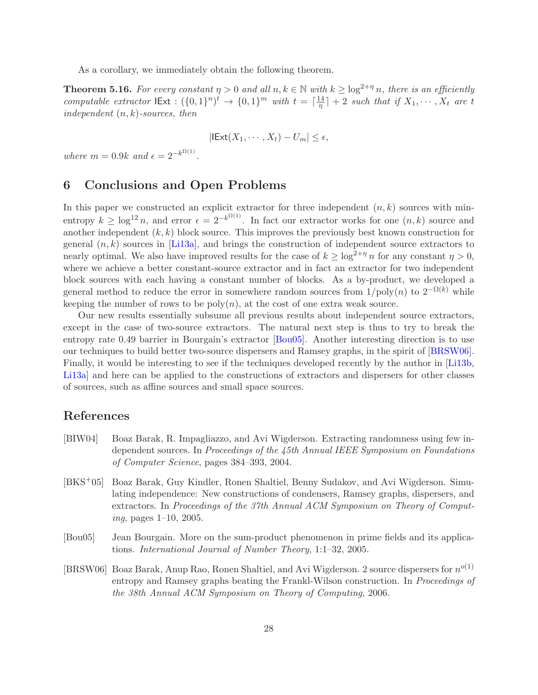As a corollary, we immediately obtain the following theorem.

**Theorem 5.16.** For every constant  $\eta > 0$  and all  $n, k \in \mathbb{N}$  with  $k \geq \log^{2+\eta} n$ , there is an efficiently computable extractor  $\text{IExt} : (\{0,1\}^n)^t \to \{0,1\}^m$  with  $t = \lceil \frac{14}{\eta} \rceil$  $\left[\frac{14}{\eta}\right] + 2$  such that if  $X_1, \cdots, X_t$  are t independent  $(n, k)$ -sources, then

$$
|\mathsf{IExt}(X_1,\cdots,X_t)-U_m|\leq \epsilon,
$$

<span id="page-28-4"></span>where  $m = 0.9k$  and  $\epsilon = 2^{-k^{\Omega(1)}}$ .

### 6 Conclusions and Open Problems

In this paper we constructed an explicit extractor for three independent  $(n, k)$  sources with minentropy  $k \geq \log^{12} n$ , and error  $\epsilon = 2^{-k^{\Omega(1)}}$ . In fact our extractor works for one  $(n, k)$  source and another independent  $(k, k)$  block source. This improves the previously best known construction for general  $(n, k)$  sources in [\[Li13a\]](#page-29-9), and brings the construction of independent source extractors to nearly optimal. We also have improved results for the case of  $k \geq \log^{2+\eta} n$  for any constant  $\eta > 0$ , where we achieve a better constant-source extractor and in fact an extractor for two independent block sources with each having a constant number of blocks. As a by-product, we developed a general method to reduce the error in somewhere random sources from  $1/\text{poly}(n)$  to  $2^{-\Omega(k)}$  while keeping the number of rows to be  $poly(n)$ , at the cost of one extra weak source.

Our new results essentially subsume all previous results about independent source extractors, except in the case of two-source extractors. The natural next step is thus to try to break the entropy rate 0.49 barrier in Bourgain's extractor [\[Bou05\]](#page-28-0). Another interesting direction is to use our techniques to build better two-source dispersers and Ramsey graphs, in the spirit of [\[BRSW06\]](#page-28-3). Finally, it would be interesting to see if the techniques developed recently by the author in [\[Li13b,](#page--1-6) [Li13a\]](#page-29-9) and here can be applied to the constructions of extractors and dispersers for other classes of sources, such as affine sources and small space sources.

# References

- <span id="page-28-1"></span>[BIW04] Boaz Barak, R. Impagliazzo, and Avi Wigderson. Extracting randomness using few independent sources. In Proceedings of the 45th Annual IEEE Symposium on Foundations of Computer Science, pages 384–393, 2004.
- <span id="page-28-2"></span>[BKS+05] Boaz Barak, Guy Kindler, Ronen Shaltiel, Benny Sudakov, and Avi Wigderson. Simulating independence: New constructions of condensers, Ramsey graphs, dispersers, and extractors. In Proceedings of the 37th Annual ACM Symposium on Theory of Computing, pages 1–10, 2005.
- <span id="page-28-0"></span>[Bou05] Jean Bourgain. More on the sum-product phenomenon in prime fields and its applications. International Journal of Number Theory, 1:1–32, 2005.
- <span id="page-28-3"></span>[BRSW06] Boaz Barak, Anup Rao, Ronen Shaltiel, and Avi Wigderson. 2 source dispersers for  $n^{o(1)}$ entropy and Ramsey graphs beating the Frankl-Wilson construction. In Proceedings of the 38th Annual ACM Symposium on Theory of Computing, 2006.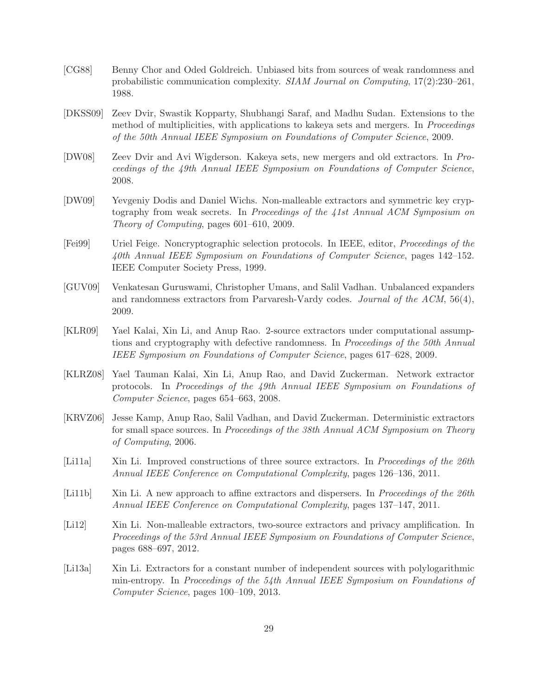- <span id="page-29-5"></span>[CG88] Benny Chor and Oded Goldreich. Unbiased bits from sources of weak randomness and probabilistic communication complexity. SIAM Journal on Computing, 17(2):230–261, 1988.
- <span id="page-29-2"></span>[DKSS09] Zeev Dvir, Swastik Kopparty, Shubhangi Saraf, and Madhu Sudan. Extensions to the method of multiplicities, with applications to kakeya sets and mergers. In *Proceedings* of the 50th Annual IEEE Symposium on Foundations of Computer Science, 2009.
- <span id="page-29-1"></span>[DW08] Zeev Dvir and Avi Wigderson. Kakeya sets, new mergers and old extractors. In Proceedings of the 49th Annual IEEE Symposium on Foundations of Computer Science, 2008.
- <span id="page-29-11"></span>[DW09] Yevgeniy Dodis and Daniel Wichs. Non-malleable extractors and symmetric key cryptography from weak secrets. In Proceedings of the 41st Annual ACM Symposium on Theory of Computing, pages 601–610, 2009.
- <span id="page-29-10"></span>[Fei99] Uriel Feige. Noncryptographic selection protocols. In IEEE, editor, Proceedings of the 40th Annual IEEE Symposium on Foundations of Computer Science, pages 142–152. IEEE Computer Society Press, 1999.
- <span id="page-29-0"></span>[GUV09] Venkatesan Guruswami, Christopher Umans, and Salil Vadhan. Unbalanced expanders and randomness extractors from Parvaresh-Vardy codes. Journal of the ACM, 56(4), 2009.
- <span id="page-29-4"></span>[KLR09] Yael Kalai, Xin Li, and Anup Rao. 2-source extractors under computational assumptions and cryptography with defective randomness. In *Proceedings of the 50th Annual* IEEE Symposium on Foundations of Computer Science, pages 617–628, 2009.
- <span id="page-29-3"></span>[KLRZ08] Yael Tauman Kalai, Xin Li, Anup Rao, and David Zuckerman. Network extractor protocols. In Proceedings of the 49th Annual IEEE Symposium on Foundations of Computer Science, pages 654–663, 2008.
- <span id="page-29-7"></span>[KRVZ06] Jesse Kamp, Anup Rao, Salil Vadhan, and David Zuckerman. Deterministic extractors for small space sources. In Proceedings of the 38th Annual ACM Symposium on Theory of Computing, 2006.
- <span id="page-29-8"></span>[Li11a] Xin Li. Improved constructions of three source extractors. In Proceedings of the 26th Annual IEEE Conference on Computational Complexity, pages 126–136, 2011.
- <span id="page-29-6"></span>[Li11b] Xin Li. A new approach to affine extractors and dispersers. In *Proceedings of the 26th* Annual IEEE Conference on Computational Complexity, pages 137–147, 2011.
- <span id="page-29-12"></span>[Li12] Xin Li. Non-malleable extractors, two-source extractors and privacy amplification. In Proceedings of the 53rd Annual IEEE Symposium on Foundations of Computer Science, pages 688–697, 2012.
- <span id="page-29-9"></span>[Li13a] Xin Li. Extractors for a constant number of independent sources with polylogarithmic min-entropy. In Proceedings of the 54th Annual IEEE Symposium on Foundations of Computer Science, pages 100–109, 2013.